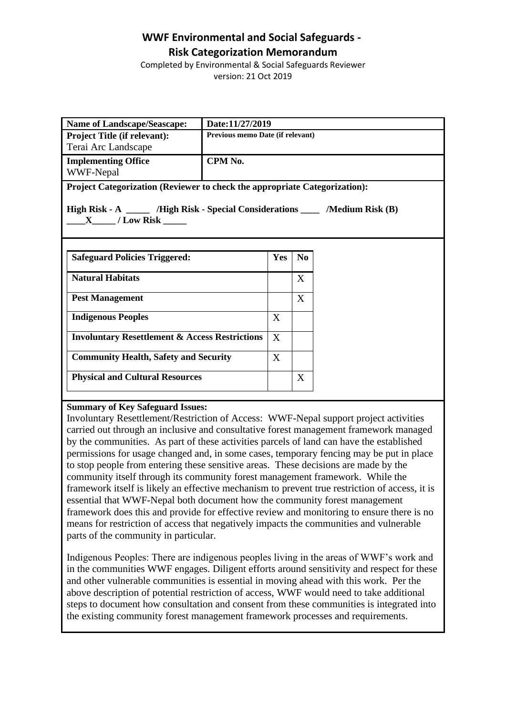# **WWF Environmental and Social Safeguards - Risk Categorization Memorandum**

Completed by Environmental & Social Safeguards Reviewer version: 21 Oct 2019

| <b>Name of Landscape/Seascape:</b>                                                                         | Date:11/27/2019                  |            |                |  |
|------------------------------------------------------------------------------------------------------------|----------------------------------|------------|----------------|--|
| <b>Project Title (if relevant):</b>                                                                        | Previous memo Date (if relevant) |            |                |  |
| Terai Arc Landscape                                                                                        |                                  |            |                |  |
| <b>Implementing Office</b>                                                                                 | CPM No.                          |            |                |  |
| WWF-Nepal                                                                                                  |                                  |            |                |  |
| Project Categorization (Reviewer to check the appropriate Categorization):                                 |                                  |            |                |  |
| High Risk - A _______ /High Risk - Special Considerations _____ /Medium Risk (B)<br>$X$ / Low Risk _______ |                                  |            |                |  |
| <b>Safeguard Policies Triggered:</b>                                                                       |                                  | <b>Yes</b> | N <sub>0</sub> |  |
|                                                                                                            |                                  |            |                |  |
| <b>Natural Habitats</b>                                                                                    |                                  |            | X              |  |
| <b>Pest Management</b>                                                                                     |                                  |            | X              |  |
| <b>Indigenous Peoples</b>                                                                                  |                                  | X          |                |  |
| <b>Involuntary Resettlement &amp; Access Restrictions</b>                                                  |                                  | X          |                |  |
| <b>Community Health, Safety and Security</b>                                                               |                                  | X          |                |  |
| <b>Physical and Cultural Resources</b>                                                                     |                                  |            | X              |  |
|                                                                                                            |                                  |            |                |  |

## **Summary of Key Safeguard Issues:**

Involuntary Resettlement/Restriction of Access: WWF-Nepal support project activities carried out through an inclusive and consultative forest management framework managed by the communities. As part of these activities parcels of land can have the established permissions for usage changed and, in some cases, temporary fencing may be put in place to stop people from entering these sensitive areas. These decisions are made by the community itself through its community forest management framework. While the framework itself is likely an effective mechanism to prevent true restriction of access, it is essential that WWF-Nepal both document how the community forest management framework does this and provide for effective review and monitoring to ensure there is no means for restriction of access that negatively impacts the communities and vulnerable parts of the community in particular.

Indigenous Peoples: There are indigenous peoples living in the areas of WWF's work and in the communities WWF engages. Diligent efforts around sensitivity and respect for these and other vulnerable communities is essential in moving ahead with this work. Per the above description of potential restriction of access, WWF would need to take additional steps to document how consultation and consent from these communities is integrated into the existing community forest management framework processes and requirements.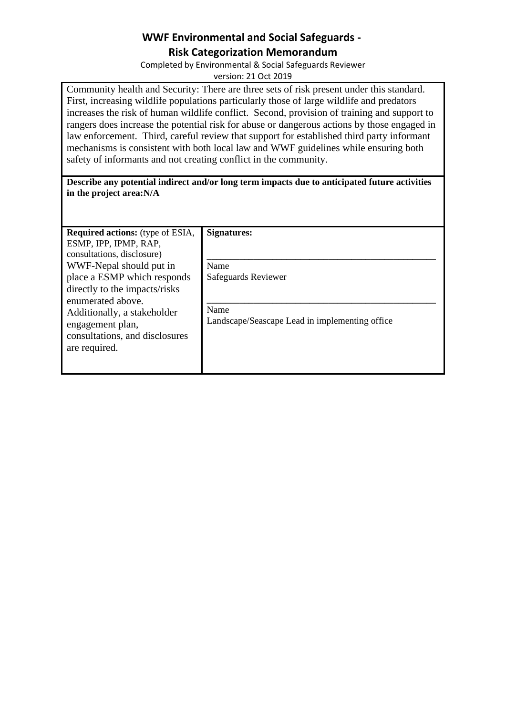# **WWF Environmental and Social Safeguards - Risk Categorization Memorandum**

Completed by Environmental & Social Safeguards Reviewer version: 21 Oct 2019

Community health and Security: There are three sets of risk present under this standard. First, increasing wildlife populations particularly those of large wildlife and predators increases the risk of human wildlife conflict. Second, provision of training and support to rangers does increase the potential risk for abuse or dangerous actions by those engaged in law enforcement. Third, careful review that support for established third party informant mechanisms is consistent with both local law and WWF guidelines while ensuring both safety of informants and not creating conflict in the community.

# **Describe any potential indirect and/or long term impacts due to anticipated future activities in the project area:N/A**

| <b>Required actions:</b> (type of ESIA,<br>ESMP, IPP, IPMP, RAP,<br>consultations, disclosure)                                                                                          | <b>Signatures:</b>                                                            |
|-----------------------------------------------------------------------------------------------------------------------------------------------------------------------------------------|-------------------------------------------------------------------------------|
| WWF-Nepal should put in                                                                                                                                                                 | Name                                                                          |
| place a ESMP which responds<br>directly to the impacts/risks<br>enumerated above.<br>Additionally, a stakeholder<br>engagement plan,<br>consultations, and disclosures<br>are required. | Safeguards Reviewer<br>Name<br>Landscape/Seascape Lead in implementing office |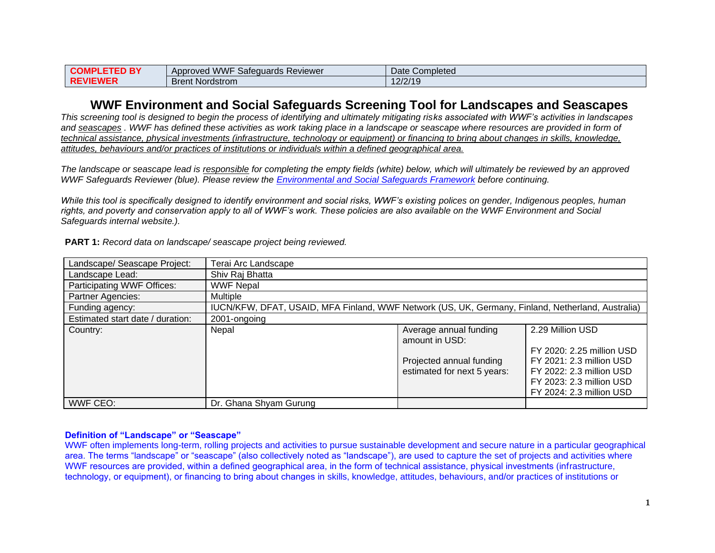| ס ו<br><b>COMF</b><br>וםו | J WWF<br>$\sim$ $\sim$<br>Safequards Reviewer<br>Approved | Date<br>Completed |
|---------------------------|-----------------------------------------------------------|-------------------|
| $-MF$<br>l RF<br>`≂VI⊨.   | <sup>+</sup> Nordstrom<br>Brent                           | 2/2/19<br>ت ا     |

# **WWF Environment and Social Safeguards Screening Tool for Landscapes and Seascapes**

*This screening tool is designed to begin the process of identifying and ultimately mitigating risks associated with WWF's activities in landscapes and seascapes . WWF has defined these activities as work taking place in a landscape or seascape where resources are provided in form of technical assistance, physical investments (infrastructure, technology or equipment) or financing to bring about changes in skills, knowledge, attitudes, behaviours and/or practices of institutions or individuals within a defined geographical area.* 

*The landscape or seascape lead is responsible for completing the empty fields (white) below, which will ultimately be reviewed by an approved WWF Safeguards Reviewer (blue). Please review the [Environmental and Social Safeguards Framework](https://sites.google.com/wwfus.org/safeguardstaskforce/?pli=1&authuser=1) before continuing.* 

*While this tool is specifically designed to identify environment and social risks, WWF's existing polices on gender, Indigenous peoples, human rights, and poverty and conservation apply to all of WWF's work. These policies are also available on the WWF Environment and Social Safeguards internal website.).*

| Landscape/ Seascape Project:     | Terai Arc Landscape                                                                               |                                                         |                                                                                                                                           |
|----------------------------------|---------------------------------------------------------------------------------------------------|---------------------------------------------------------|-------------------------------------------------------------------------------------------------------------------------------------------|
| Landscape Lead:                  | Shiv Raj Bhatta                                                                                   |                                                         |                                                                                                                                           |
| Participating WWF Offices:       | <b>WWF Nepal</b>                                                                                  |                                                         |                                                                                                                                           |
| Partner Agencies:                | <b>Multiple</b>                                                                                   |                                                         |                                                                                                                                           |
| Funding agency:                  | IUCN/KFW, DFAT, USAID, MFA Finland, WWF Network (US, UK, Germany, Finland, Netherland, Australia) |                                                         |                                                                                                                                           |
| Estimated start date / duration: | 2001-ongoing                                                                                      |                                                         |                                                                                                                                           |
| Country:                         | Nepal                                                                                             | Average annual funding<br>amount in USD:                | 2.29 Million USD                                                                                                                          |
|                                  |                                                                                                   | Projected annual funding<br>estimated for next 5 years: | FY 2020: 2.25 million USD<br>FY 2021: 2.3 million USD<br>FY 2022: 2.3 million USD<br>FY 2023: 2.3 million USD<br>FY 2024: 2.3 million USD |
| WWF CEO:                         | Dr. Ghana Shyam Gurung                                                                            |                                                         |                                                                                                                                           |

**PART 1:** *Record data on landscape/ seascape project being reviewed.* 

#### **Definition of "Landscape" or "Seascape"**

WWF often implements long-term, rolling projects and activities to pursue sustainable development and secure nature in a particular geographical area. The terms "landscape" or "seascape" (also collectively noted as "landscape"), are used to capture the set of projects and activities where WWF resources are provided, within a defined geographical area, in the form of technical assistance, physical investments (infrastructure, technology, or equipment), or financing to bring about changes in skills, knowledge, attitudes, behaviours, and/or practices of institutions or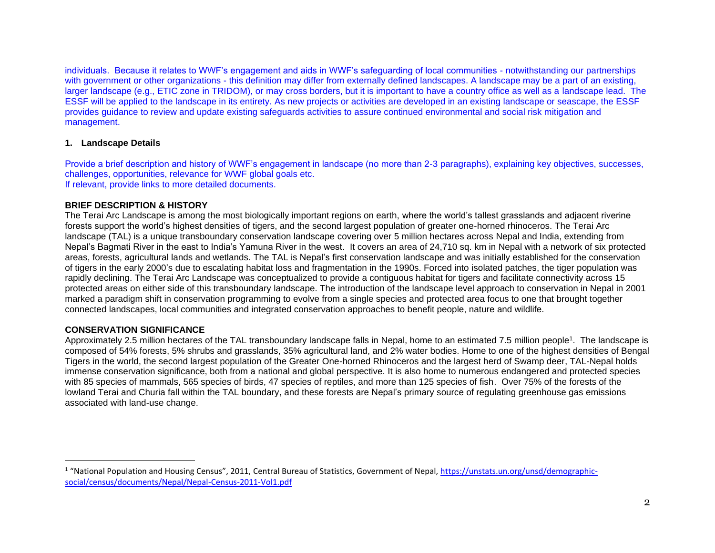individuals. Because it relates to WWF's engagement and aids in WWF's safeguarding of local communities - notwithstanding our partnerships with government or other organizations - this definition may differ from externally defined landscapes. A landscape may be a part of an existing, larger landscape (e.g., ETIC zone in TRIDOM), or may cross borders, but it is important to have a country office as well as a landscape lead. The ESSF will be applied to the landscape in its entirety. As new projects or activities are developed in an existing landscape or seascape, the ESSF provides guidance to review and update existing safeguards activities to assure continued environmental and social risk mitigation and management.

### **1. Landscape Details**

Provide a brief description and history of WWF's engagement in landscape (no more than 2-3 paragraphs), explaining key objectives, successes, challenges, opportunities, relevance for WWF global goals etc. If relevant, provide links to more detailed documents.

### **BRIEF DESCRIPTION & HISTORY**

The Terai Arc Landscape is among the most biologically important regions on earth, where the world's tallest grasslands and adjacent riverine forests support the world's highest densities of tigers, and the second largest population of greater one-horned rhinoceros. The Terai Arc landscape (TAL) is a unique transboundary conservation landscape covering over 5 million hectares across Nepal and India, extending from Nepal's Bagmati River in the east to India's Yamuna River in the west. It covers an area of 24,710 sq. km in Nepal with a network of six protected areas, forests, agricultural lands and wetlands. The TAL is Nepal's first conservation landscape and was initially established for the conservation of tigers in the early 2000's due to escalating habitat loss and fragmentation in the 1990s. Forced into isolated patches, the tiger population was rapidly declining. The Terai Arc Landscape was conceptualized to provide a contiguous habitat for tigers and facilitate connectivity across 15 protected areas on either side of this transboundary landscape. The introduction of the landscape level approach to conservation in Nepal in 2001 marked a paradigm shift in conservation programming to evolve from a single species and protected area focus to one that brought together connected landscapes, local communities and integrated conservation approaches to benefit people, nature and wildlife.

## **CONSERVATION SIGNIFICANCE**

Approximately 2.5 million hectares of the TAL transboundary landscape falls in Nepal, home to an estimated 7.5 million people<sup>1</sup>. The landscape is composed of 54% forests, 5% shrubs and grasslands, 35% agricultural land, and 2% water bodies. Home to one of the highest densities of Bengal Tigers in the world, the second largest population of the Greater One-horned Rhinoceros and the largest herd of Swamp deer, TAL-Nepal holds immense conservation significance, both from a national and global perspective. It is also home to numerous endangered and protected species with 85 species of mammals, 565 species of birds, 47 species of reptiles, and more than 125 species of fish. Over 75% of the forests of the lowland Terai and Churia fall within the TAL boundary, and these forests are Nepal's primary source of regulating greenhouse gas emissions associated with land-use change.

<sup>&</sup>lt;sup>1</sup> "National Population and Housing Census", 2011, Central Bureau of Statistics, Government of Nepal[, https://unstats.un.org/unsd/demographic](https://unstats.un.org/unsd/demographic-social/census/documents/Nepal/Nepal-Census-2011-Vol1.pdf)[social/census/documents/Nepal/Nepal-Census-2011-Vol1.pdf](https://unstats.un.org/unsd/demographic-social/census/documents/Nepal/Nepal-Census-2011-Vol1.pdf)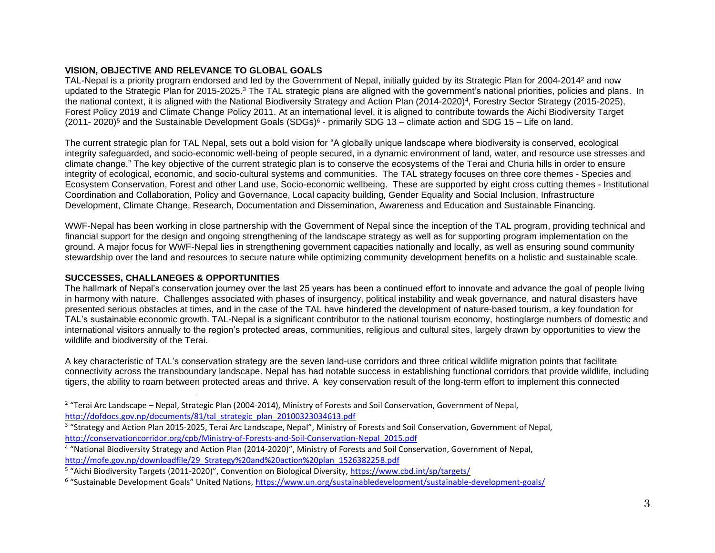## **VISION, OBJECTIVE AND RELEVANCE TO GLOBAL GOALS**

TAL-Nepal is a priority program endorsed and led by the Government of Nepal, initially guided by its Strategic Plan for 2004-2014<sup>2</sup> and now updated to the Strategic Plan for 2015-2025.<sup>3</sup> The TAL strategic plans are aligned with the government's national priorities, policies and plans. In the national context, it is aligned with the National Biodiversity Strategy and Action Plan (2014-2020)<sup>4</sup>, Forestry Sector Strategy (2015-2025), Forest Policy 2019 and Climate Change Policy 2011. At an international level, it is aligned to contribute towards the Aichi Biodiversity Target (2011- 2020)<sup>5</sup> and the Sustainable Development Goals (SDGs)<sup>6</sup> - primarily SDG 13 – climate action and SDG 15 – Life on land.

The current strategic plan for TAL Nepal, sets out a bold vision for "A globally unique landscape where biodiversity is conserved, ecological integrity safeguarded, and socio-economic well-being of people secured, in a dynamic environment of land, water, and resource use stresses and climate change." The key objective of the current strategic plan is to conserve the ecosystems of the Terai and Churia hills in order to ensure integrity of ecological, economic, and socio-cultural systems and communities. The TAL strategy focuses on three core themes - Species and Ecosystem Conservation, Forest and other Land use, Socio-economic wellbeing. These are supported by eight cross cutting themes - Institutional Coordination and Collaboration, Policy and Governance, Local capacity building, Gender Equality and Social Inclusion, Infrastructure Development, Climate Change, Research, Documentation and Dissemination, Awareness and Education and Sustainable Financing.

WWF-Nepal has been working in close partnership with the Government of Nepal since the inception of the TAL program, providing technical and financial support for the design and ongoing strengthening of the landscape strategy as well as for supporting program implementation on the ground. A major focus for WWF-Nepal lies in strengthening government capacities nationally and locally, as well as ensuring sound community stewardship over the land and resources to secure nature while optimizing community development benefits on a holistic and sustainable scale.

## **SUCCESSES, CHALLANEGES & OPPORTUNITIES**

The hallmark of Nepal's conservation journey over the last 25 years has been a continued effort to innovate and advance the goal of people living in harmony with nature. Challenges associated with phases of insurgency, political instability and weak governance, and natural disasters have presented serious obstacles at times, and in the case of the TAL have hindered the development of nature-based tourism, a key foundation for TAL's sustainable economic growth. TAL-Nepal is a significant contributor to the national tourism economy, hostinglarge numbers of domestic and international visitors annually to the region's protected areas, communities, religious and cultural sites, largely drawn by opportunities to view the wildlife and biodiversity of the Terai.

A key characteristic of TAL's conservation strategy are the seven land-use corridors and three critical wildlife migration points that facilitate connectivity across the transboundary landscape. Nepal has had notable success in establishing functional corridors that provide wildlife, including tigers, the ability to roam between protected areas and thrive. A key conservation result of the long-term effort to implement this connected

 $2$  "Terai Arc Landscape – Nepal, Strategic Plan (2004-2014), Ministry of Forests and Soil Conservation, Government of Nepal, [http://dofdocs.gov.np/documents/81/tal\\_strategic\\_plan\\_20100323034613.pdf](http://dofdocs.gov.np/documents/81/tal_strategic_plan_20100323034613.pdf)

<sup>3</sup> "Strategy and Action Plan 2015-2025, Terai Arc Landscape, Nepal", Ministry of Forests and Soil Conservation, Government of Nepal, [http://conservationcorridor.org/cpb/Ministry-of-Forests-and-Soil-Conservation-Nepal\\_2015.pdf](http://conservationcorridor.org/cpb/Ministry-of-Forests-and-Soil-Conservation-Nepal_2015.pdf)

<sup>&</sup>lt;sup>4</sup> "National Biodiversity Strategy and Action Plan (2014-2020)", Ministry of Forests and Soil Conservation, Government of Nepal, [http://mofe.gov.np/downloadfile/29\\_Strategy%20and%20action%20plan\\_1526382258.pdf](http://mofe.gov.np/downloadfile/29_Strategy%20and%20action%20plan_1526382258.pdf)

<sup>&</sup>lt;sup>5</sup> "Aichi Biodiversity Targets (2011-2020)", Convention on Biological Diversity, *<https://www.cbd.int/sp/targets/>* 

<sup>&</sup>lt;sup>6</sup> "Sustainable Development Goals" United Nations, <u><https://www.un.org/sustainabledevelopment/sustainable-development-goals/></u>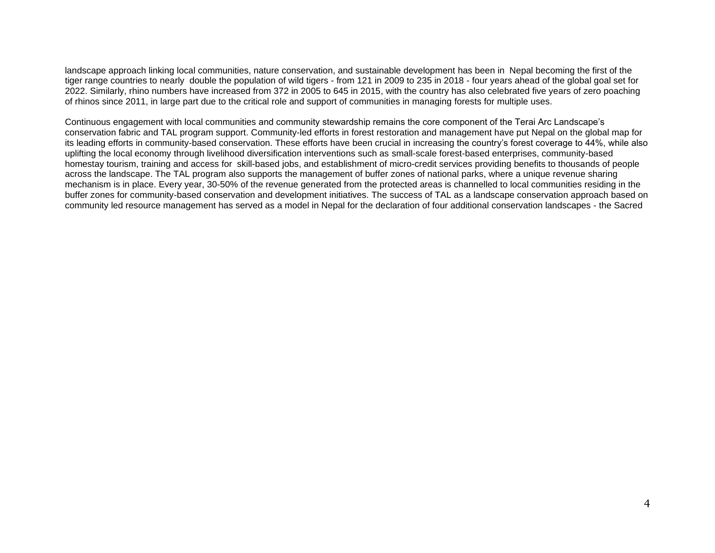landscape approach linking local communities, nature conservation, and sustainable development has been in Nepal becoming the first of the tiger range countries to nearly double the population of wild tigers - from 121 in 2009 to 235 in 2018 - four years ahead of the global goal set for 2022. Similarly, rhino numbers have increased from 372 in 2005 to 645 in 2015, with the country has also celebrated five years of zero poaching of rhinos since 2011, in large part due to the critical role and support of communities in managing forests for multiple uses.

Continuous engagement with local communities and community stewardship remains the core component of the Terai Arc Landscape's conservation fabric and TAL program support. Community-led efforts in forest restoration and management have put Nepal on the global map for its leading efforts in community-based conservation. These efforts have been crucial in increasing the country's forest coverage to 44%, while also uplifting the local economy through livelihood diversification interventions such as small-scale forest-based enterprises, community-based homestay tourism, training and access for skill-based jobs, and establishment of micro-credit services providing benefits to thousands of people across the landscape. The TAL program also supports the management of buffer zones of national parks, where a unique revenue sharing mechanism is in place. Every year, 30-50% of the revenue generated from the protected areas is channelled to local communities residing in the buffer zones for community-based conservation and development initiatives. The success of TAL as a landscape conservation approach based on community led resource management has served as a model in Nepal for the declaration of four additional conservation landscapes - the Sacred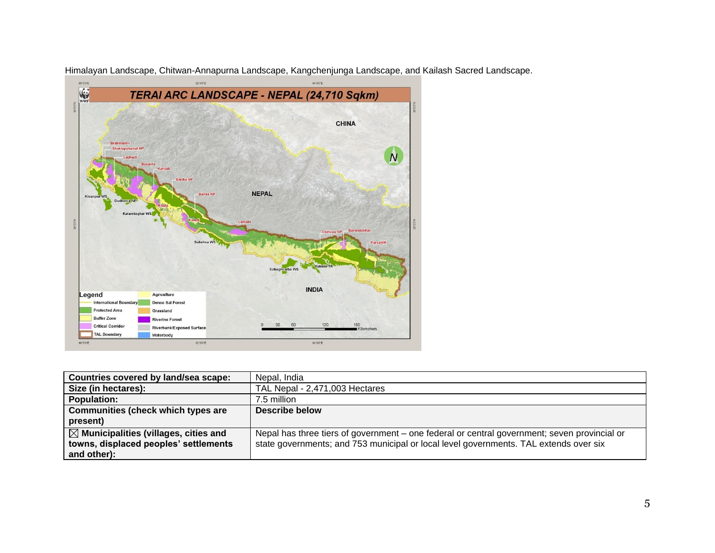

Himalayan Landscape, Chitwan-Annapurna Landscape, Kangchenjunga Landscape, and Kailash Sacred Landscape.

| Countries covered by land/sea scape:             | Nepal, India                                                                                 |
|--------------------------------------------------|----------------------------------------------------------------------------------------------|
| Size (in hectares):                              | TAL Nepal - 2,471,003 Hectares                                                               |
| <b>Population:</b>                               | 7.5 million                                                                                  |
| Communities (check which types are               | Describe below                                                                               |
| present)                                         |                                                                                              |
| $\boxtimes$ Municipalities (villages, cities and | Nepal has three tiers of government – one federal or central government; seven provincial or |
| towns, displaced peoples' settlements            | state governments; and 753 municipal or local level governments. TAL extends over six        |
| and other):                                      |                                                                                              |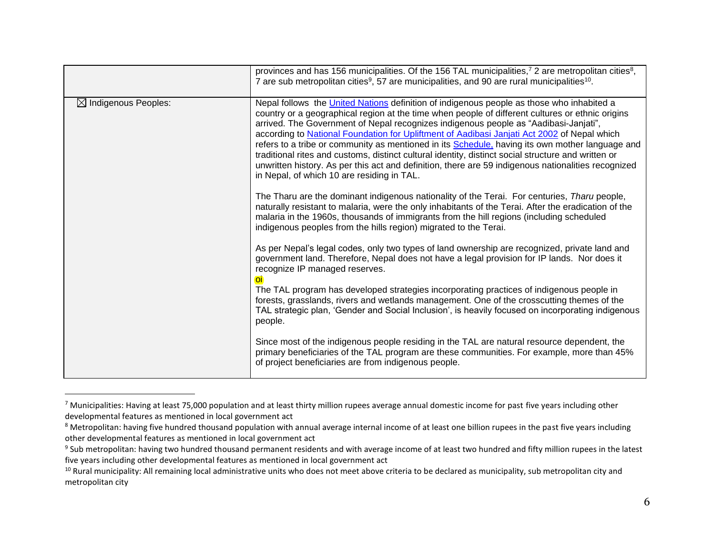|                                 | provinces and has 156 municipalities. Of the 156 TAL municipalities, <sup>7</sup> 2 are metropolitan cities <sup>8</sup> ,<br>7 are sub metropolitan cities <sup>9</sup> , 57 are municipalities, and 90 are rural municipalities <sup>10</sup> .                                                                                                                                                                                                                                                                                                                                                                                                                                                                                                   |
|---------------------------------|-----------------------------------------------------------------------------------------------------------------------------------------------------------------------------------------------------------------------------------------------------------------------------------------------------------------------------------------------------------------------------------------------------------------------------------------------------------------------------------------------------------------------------------------------------------------------------------------------------------------------------------------------------------------------------------------------------------------------------------------------------|
| $\boxtimes$ Indigenous Peoples: | Nepal follows the United Nations definition of indigenous people as those who inhabited a<br>country or a geographical region at the time when people of different cultures or ethnic origins<br>arrived. The Government of Nepal recognizes indigenous people as "Aadibasi-Janjati",<br>according to National Foundation for Upliftment of Aadibasi Janjati Act 2002 of Nepal which<br>refers to a tribe or community as mentioned in its Schedule, having its own mother language and<br>traditional rites and customs, distinct cultural identity, distinct social structure and written or<br>unwritten history. As per this act and definition, there are 59 indigenous nationalities recognized<br>in Nepal, of which 10 are residing in TAL. |
|                                 | The Tharu are the dominant indigenous nationality of the Terai. For centuries, Tharu people,<br>naturally resistant to malaria, were the only inhabitants of the Terai. After the eradication of the<br>malaria in the 1960s, thousands of immigrants from the hill regions (including scheduled<br>indigenous peoples from the hills region) migrated to the Terai.                                                                                                                                                                                                                                                                                                                                                                                |
|                                 | As per Nepal's legal codes, only two types of land ownership are recognized, private land and<br>government land. Therefore, Nepal does not have a legal provision for IP lands. Nor does it<br>recognize IP managed reserves.<br>$\Omega$<br>The TAL program has developed strategies incorporating practices of indigenous people in<br>forests, grasslands, rivers and wetlands management. One of the crosscutting themes of the                                                                                                                                                                                                                                                                                                                |
|                                 | TAL strategic plan, 'Gender and Social Inclusion', is heavily focused on incorporating indigenous<br>people.                                                                                                                                                                                                                                                                                                                                                                                                                                                                                                                                                                                                                                        |
|                                 | Since most of the indigenous people residing in the TAL are natural resource dependent, the<br>primary beneficiaries of the TAL program are these communities. For example, more than 45%<br>of project beneficiaries are from indigenous people.                                                                                                                                                                                                                                                                                                                                                                                                                                                                                                   |

<sup>&</sup>lt;sup>7</sup> Municipalities: Having at least 75,000 population and at least thirty million rupees average annual domestic income for past five years including other developmental features as mentioned in local government act

<sup>&</sup>lt;sup>8</sup> Metropolitan: having five hundred thousand population with annual average internal income of at least one billion rupees in the past five years including other developmental features as mentioned in local government act

 $9$  Sub metropolitan: having two hundred thousand permanent residents and with average income of at least two hundred and fifty million rupees in the latest five years including other developmental features as mentioned in local government act

<sup>&</sup>lt;sup>10</sup> Rural municipality: All remaining local administrative units who does not meet above criteria to be declared as municipality, sub metropolitan city and metropolitan city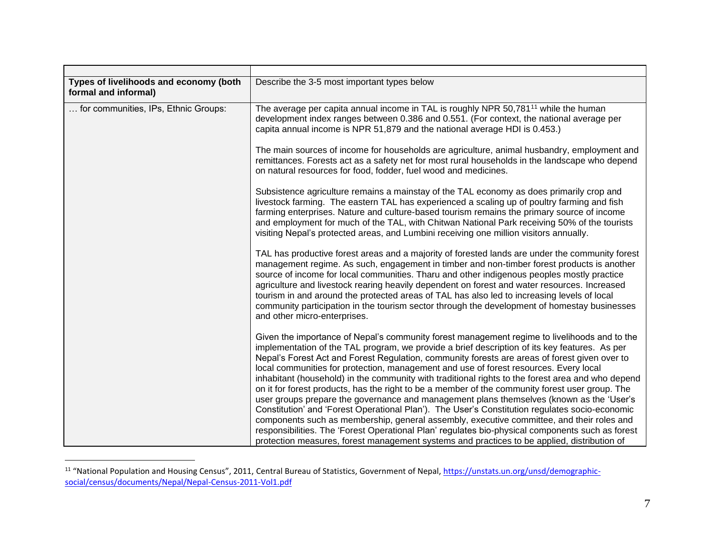| Types of livelihoods and economy (both<br>formal and informal) | Describe the 3-5 most important types below                                                                                                                                                                                                                                                                                                                                                                                                                                                                                                                                                                                                                                                                                                                                                                                                                                                                                                                                                    |
|----------------------------------------------------------------|------------------------------------------------------------------------------------------------------------------------------------------------------------------------------------------------------------------------------------------------------------------------------------------------------------------------------------------------------------------------------------------------------------------------------------------------------------------------------------------------------------------------------------------------------------------------------------------------------------------------------------------------------------------------------------------------------------------------------------------------------------------------------------------------------------------------------------------------------------------------------------------------------------------------------------------------------------------------------------------------|
| for communities, IPs, Ethnic Groups:                           | The average per capita annual income in TAL is roughly NPR 50,781 <sup>11</sup> while the human<br>development index ranges between 0.386 and 0.551. (For context, the national average per<br>capita annual income is NPR 51,879 and the national average HDI is 0.453.)                                                                                                                                                                                                                                                                                                                                                                                                                                                                                                                                                                                                                                                                                                                      |
|                                                                | The main sources of income for households are agriculture, animal husbandry, employment and<br>remittances. Forests act as a safety net for most rural households in the landscape who depend<br>on natural resources for food, fodder, fuel wood and medicines.                                                                                                                                                                                                                                                                                                                                                                                                                                                                                                                                                                                                                                                                                                                               |
|                                                                | Subsistence agriculture remains a mainstay of the TAL economy as does primarily crop and<br>livestock farming. The eastern TAL has experienced a scaling up of poultry farming and fish<br>farming enterprises. Nature and culture-based tourism remains the primary source of income<br>and employment for much of the TAL, with Chitwan National Park receiving 50% of the tourists<br>visiting Nepal's protected areas, and Lumbini receiving one million visitors annually.                                                                                                                                                                                                                                                                                                                                                                                                                                                                                                                |
|                                                                | TAL has productive forest areas and a majority of forested lands are under the community forest<br>management regime. As such, engagement in timber and non-timber forest products is another<br>source of income for local communities. Tharu and other indigenous peoples mostly practice<br>agriculture and livestock rearing heavily dependent on forest and water resources. Increased<br>tourism in and around the protected areas of TAL has also led to increasing levels of local<br>community participation in the tourism sector through the development of homestay businesses<br>and other micro-enterprises.                                                                                                                                                                                                                                                                                                                                                                     |
|                                                                | Given the importance of Nepal's community forest management regime to livelihoods and to the<br>implementation of the TAL program, we provide a brief description of its key features. As per<br>Nepal's Forest Act and Forest Regulation, community forests are areas of forest given over to<br>local communities for protection, management and use of forest resources. Every local<br>inhabitant (household) in the community with traditional rights to the forest area and who depend<br>on it for forest products, has the right to be a member of the community forest user group. The<br>user groups prepare the governance and management plans themselves (known as the 'User's<br>Constitution' and 'Forest Operational Plan'). The User's Constitution regulates socio-economic<br>components such as membership, general assembly, executive committee, and their roles and<br>responsibilities. The 'Forest Operational Plan' regulates bio-physical components such as forest |
|                                                                | protection measures, forest management systems and practices to be applied, distribution of                                                                                                                                                                                                                                                                                                                                                                                                                                                                                                                                                                                                                                                                                                                                                                                                                                                                                                    |

<sup>&</sup>lt;sup>11</sup> "National Population and Housing Census", 2011, Central Bureau of Statistics, Government of Nepal, [https://unstats.un.org/unsd/demographic](https://unstats.un.org/unsd/demographic-social/census/documents/Nepal/Nepal-Census-2011-Vol1.pdf)[social/census/documents/Nepal/Nepal-Census-2011-Vol1.pdf](https://unstats.un.org/unsd/demographic-social/census/documents/Nepal/Nepal-Census-2011-Vol1.pdf)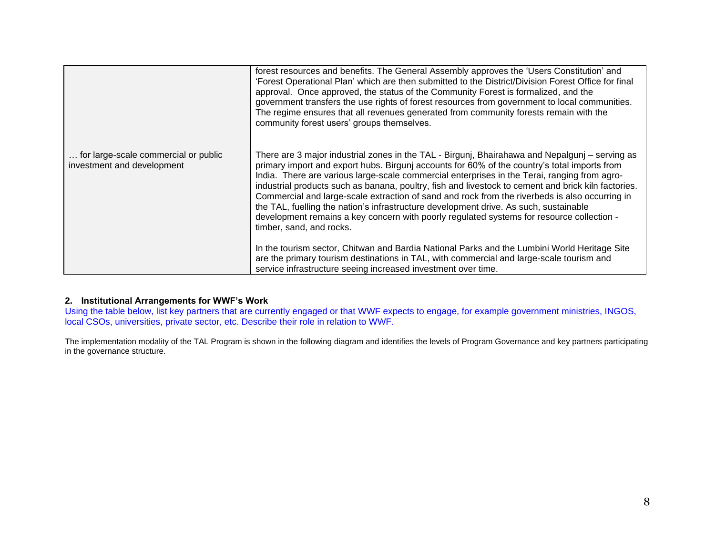|                                                                    | forest resources and benefits. The General Assembly approves the 'Users Constitution' and<br>'Forest Operational Plan' which are then submitted to the District/Division Forest Office for final<br>approval. Once approved, the status of the Community Forest is formalized, and the<br>government transfers the use rights of forest resources from government to local communities.<br>The regime ensures that all revenues generated from community forests remain with the<br>community forest users' groups themselves.                                                                                                                                                                                            |
|--------------------------------------------------------------------|---------------------------------------------------------------------------------------------------------------------------------------------------------------------------------------------------------------------------------------------------------------------------------------------------------------------------------------------------------------------------------------------------------------------------------------------------------------------------------------------------------------------------------------------------------------------------------------------------------------------------------------------------------------------------------------------------------------------------|
| for large-scale commercial or public<br>investment and development | There are 3 major industrial zones in the TAL - Birgunj, Bhairahawa and Nepalgunj – serving as<br>primary import and export hubs. Birgunj accounts for 60% of the country's total imports from<br>India. There are various large-scale commercial enterprises in the Terai, ranging from agro-<br>industrial products such as banana, poultry, fish and livestock to cement and brick kiln factories.<br>Commercial and large-scale extraction of sand and rock from the riverbeds is also occurring in<br>the TAL, fuelling the nation's infrastructure development drive. As such, sustainable<br>development remains a key concern with poorly regulated systems for resource collection -<br>timber, sand, and rocks. |
|                                                                    | In the tourism sector, Chitwan and Bardia National Parks and the Lumbini World Heritage Site<br>are the primary tourism destinations in TAL, with commercial and large-scale tourism and<br>service infrastructure seeing increased investment over time.                                                                                                                                                                                                                                                                                                                                                                                                                                                                 |

## **2. Institutional Arrangements for WWF's Work**

Using the table below, list key partners that are currently engaged or that WWF expects to engage, for example government ministries, INGOS, local CSOs, universities, private sector, etc. Describe their role in relation to WWF.

The implementation modality of the TAL Program is shown in the following diagram and identifies the levels of Program Governance and key partners participating in the governance structure.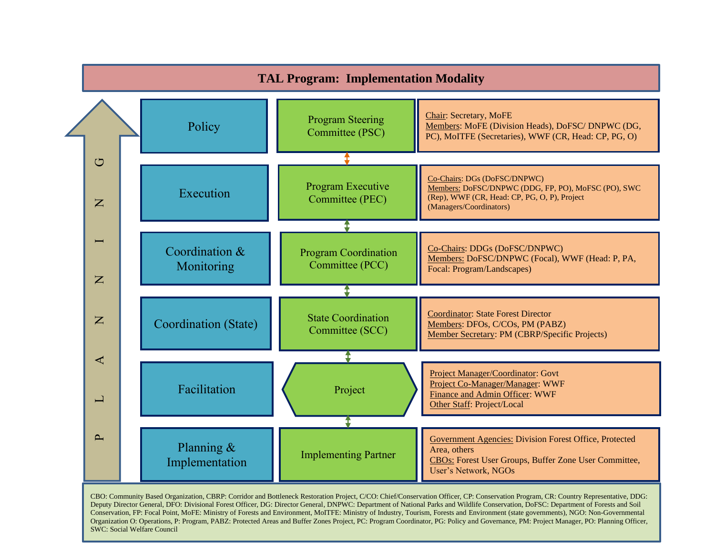

CBO: Community Based Organization, CBRP: Corridor and Bottleneck Restoration Project, C/CO: Chief/Conservation Officer, CP: Conservation Program, CR: Country Representative, DDG:<br>Deputy Director General, DFO: Divisional Fo Deputy Director General, DFO: Divisional Forest Officer, DG: Director General, DNPWC: Department of National Parks and Wildlife Conservation, DoFSC: Department of Forests and Soil Conservation, FP: Focal Point, MoFE: Ministry of Forests and Environment, MoITFE: Ministry of Industry, Tourism, Forests and Environment (state governments), NGO: Non-Governmental Organization O: Operations, P: Program, PABZ: Protected Areas and Buffer Zones Project, PC: Program Coordinator, PG: Policy and Governance, PM: Project Manager, PO: Planning Officer, SWC: Social Welfare Council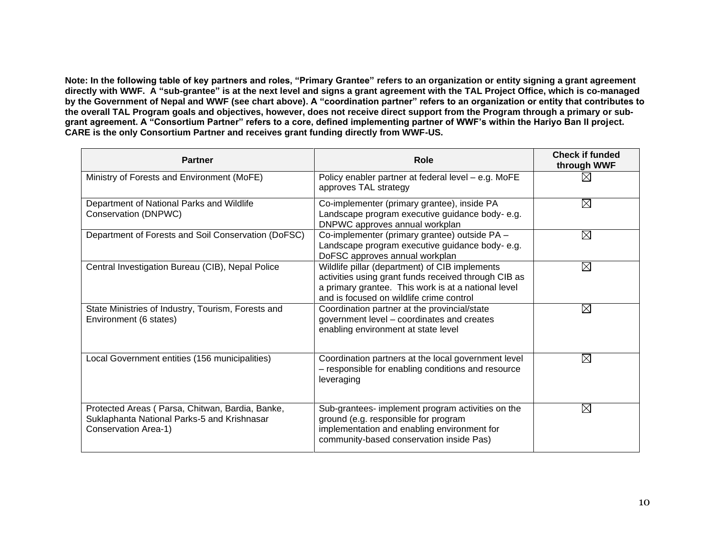**Note: In the following table of key partners and roles, "Primary Grantee" refers to an organization or entity signing a grant agreement directly with WWF. A "sub-grantee" is at the next level and signs a grant agreement with the TAL Project Office, which is co-managed by the Government of Nepal and WWF (see chart above). A "coordination partner" refers to an organization or entity that contributes to the overall TAL Program goals and objectives, however, does not receive direct support from the Program through a primary or subgrant agreement. A "Consortium Partner" refers to a core, defined implementing partner of WWF's within the Hariyo Ban II project. CARE is the only Consortium Partner and receives grant funding directly from WWF-US.**

| <b>Partner</b>                                                                                                         | Role                                                                                                                                                                                                      | <b>Check if funded</b><br>through WWF |
|------------------------------------------------------------------------------------------------------------------------|-----------------------------------------------------------------------------------------------------------------------------------------------------------------------------------------------------------|---------------------------------------|
| Ministry of Forests and Environment (MoFE)                                                                             | Policy enabler partner at federal level - e.g. MoFE<br>approves TAL strategy                                                                                                                              | $\boxtimes$                           |
| Department of National Parks and Wildlife<br>Conservation (DNPWC)                                                      | Co-implementer (primary grantee), inside PA<br>Landscape program executive guidance body-e.g.<br>DNPWC approves annual workplan                                                                           | $\boxtimes$                           |
| Department of Forests and Soil Conservation (DoFSC)                                                                    | Co-implementer (primary grantee) outside PA -<br>Landscape program executive guidance body- e.g.<br>DoFSC approves annual workplan                                                                        | ⊠                                     |
| Central Investigation Bureau (CIB), Nepal Police                                                                       | Wildlife pillar (department) of CIB implements<br>activities using grant funds received through CIB as<br>a primary grantee. This work is at a national level<br>and is focused on wildlife crime control | $\boxtimes$                           |
| State Ministries of Industry, Tourism, Forests and<br>Environment (6 states)                                           | Coordination partner at the provincial/state<br>government level - coordinates and creates<br>enabling environment at state level                                                                         | $\boxtimes$                           |
| Local Government entities (156 municipalities)                                                                         | Coordination partners at the local government level<br>- responsible for enabling conditions and resource<br>leveraging                                                                                   | $\boxtimes$                           |
| Protected Areas (Parsa, Chitwan, Bardia, Banke,<br>Suklaphanta National Parks-5 and Krishnasar<br>Conservation Area-1) | Sub-grantees- implement program activities on the<br>ground (e.g. responsible for program<br>implementation and enabling environment for<br>community-based conservation inside Pas)                      | $\boxtimes$                           |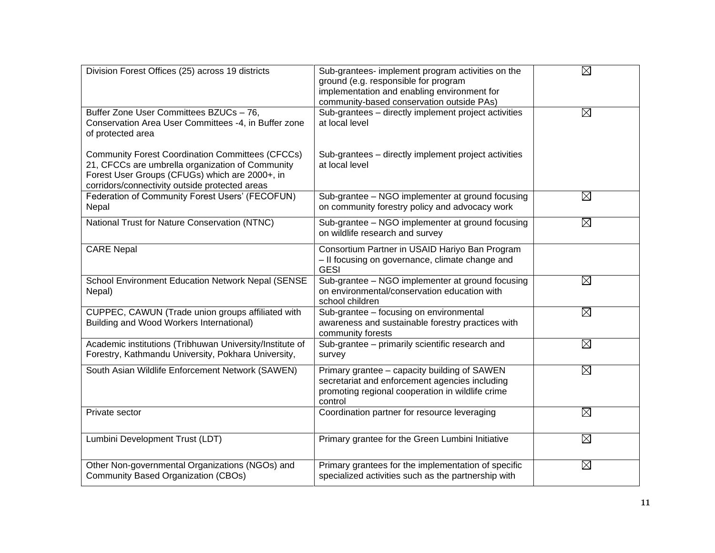| Division Forest Offices (25) across 19 districts                                                                                                                                                                | Sub-grantees- implement program activities on the<br>ground (e.g. responsible for program<br>implementation and enabling environment for<br>community-based conservation outside PAs) | $\boxtimes$ |
|-----------------------------------------------------------------------------------------------------------------------------------------------------------------------------------------------------------------|---------------------------------------------------------------------------------------------------------------------------------------------------------------------------------------|-------------|
| Buffer Zone User Committees BZUCs - 76,<br>Conservation Area User Committees -4, in Buffer zone<br>of protected area                                                                                            | Sub-grantees - directly implement project activities<br>at local level                                                                                                                | ⊠           |
| <b>Community Forest Coordination Committees (CFCCs)</b><br>21, CFCCs are umbrella organization of Community<br>Forest User Groups (CFUGs) which are 2000+, in<br>corridors/connectivity outside protected areas | Sub-grantees - directly implement project activities<br>at local level                                                                                                                |             |
| Federation of Community Forest Users' (FECOFUN)<br>Nepal                                                                                                                                                        | Sub-grantee - NGO implementer at ground focusing<br>on community forestry policy and advocacy work                                                                                    | $\boxtimes$ |
| National Trust for Nature Conservation (NTNC)                                                                                                                                                                   | Sub-grantee - NGO implementer at ground focusing<br>on wildlife research and survey                                                                                                   | $\boxtimes$ |
| <b>CARE Nepal</b>                                                                                                                                                                                               | Consortium Partner in USAID Hariyo Ban Program<br>- Il focusing on governance, climate change and<br><b>GESI</b>                                                                      |             |
| School Environment Education Network Nepal (SENSE<br>Nepal)                                                                                                                                                     | Sub-grantee - NGO implementer at ground focusing<br>on environmental/conservation education with<br>school children                                                                   | $\boxtimes$ |
| CUPPEC, CAWUN (Trade union groups affiliated with<br>Building and Wood Workers International)                                                                                                                   | Sub-grantee - focusing on environmental<br>awareness and sustainable forestry practices with<br>community forests                                                                     | $\boxtimes$ |
| Academic institutions (Tribhuwan University/Institute of<br>Forestry, Kathmandu University, Pokhara University,                                                                                                 | Sub-grantee - primarily scientific research and<br>survey                                                                                                                             | $\boxtimes$ |
| South Asian Wildlife Enforcement Network (SAWEN)                                                                                                                                                                | Primary grantee - capacity building of SAWEN<br>secretariat and enforcement agencies including<br>promoting regional cooperation in wildlife crime<br>control                         | $\boxtimes$ |
| Private sector                                                                                                                                                                                                  | Coordination partner for resource leveraging                                                                                                                                          | $\boxtimes$ |
| Lumbini Development Trust (LDT)                                                                                                                                                                                 | Primary grantee for the Green Lumbini Initiative                                                                                                                                      | $\boxtimes$ |
| Other Non-governmental Organizations (NGOs) and<br><b>Community Based Organization (CBOs)</b>                                                                                                                   | Primary grantees for the implementation of specific<br>specialized activities such as the partnership with                                                                            | $\boxtimes$ |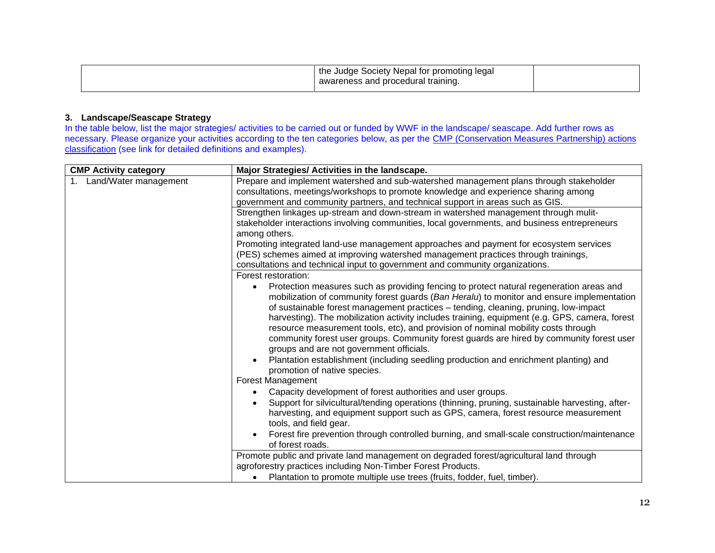| the Judge Society Nepal for promoting legal |  |
|---------------------------------------------|--|
| awareness and procedural training.          |  |

#### **3. Landscape/Seascape Strategy**

In the table below, list the major strategies/ activities to be carried out or funded by WWF in the landscape/ seascape. Add further rows as necessary. Please organize your activities according to the ten categories below, as per the CMP (Conservation Measures Partnership) actions [classification](http://cmp-openstandards.org/version-2-0-of-threats-and-actions-classification-available/) (see link for detailed definitions and examples).

| <b>CMP Activity category</b> | Major Strategies/ Activities in the landscape.                                                                                                                                                    |
|------------------------------|---------------------------------------------------------------------------------------------------------------------------------------------------------------------------------------------------|
| Land/Water management        | Prepare and implement watershed and sub-watershed management plans through stakeholder                                                                                                            |
|                              | consultations, meetings/workshops to promote knowledge and experience sharing among                                                                                                               |
|                              | government and community partners, and technical support in areas such as GIS.                                                                                                                    |
|                              | Strengthen linkages up-stream and down-stream in watershed management through mulit-                                                                                                              |
|                              | stakeholder interactions involving communities, local governments, and business entrepreneurs                                                                                                     |
|                              | among others.                                                                                                                                                                                     |
|                              | Promoting integrated land-use management approaches and payment for ecosystem services                                                                                                            |
|                              | (PES) schemes aimed at improving watershed management practices through trainings,                                                                                                                |
|                              | consultations and technical input to government and community organizations.                                                                                                                      |
|                              | Forest restoration:                                                                                                                                                                               |
|                              | Protection measures such as providing fencing to protect natural regeneration areas and<br>$\bullet$<br>mobilization of community forest guards (Ban Heralu) to monitor and ensure implementation |
|                              | of sustainable forest management practices - tending, cleaning, pruning, low-impact                                                                                                               |
|                              | harvesting). The mobilization activity includes training, equipment (e.g. GPS, camera, forest                                                                                                     |
|                              | resource measurement tools, etc), and provision of nominal mobility costs through                                                                                                                 |
|                              | community forest user groups. Community forest guards are hired by community forest user                                                                                                          |
|                              | groups and are not government officials.                                                                                                                                                          |
|                              | Plantation establishment (including seedling production and enrichment planting) and<br>$\bullet$<br>promotion of native species.                                                                 |
|                              | Forest Management                                                                                                                                                                                 |
|                              | Capacity development of forest authorities and user groups.<br>$\bullet$                                                                                                                          |
|                              | Support for silvicultural/tending operations (thinning, pruning, sustainable harvesting, after-                                                                                                   |
|                              | harvesting, and equipment support such as GPS, camera, forest resource measurement                                                                                                                |
|                              | tools, and field gear.                                                                                                                                                                            |
|                              | Forest fire prevention through controlled burning, and small-scale construction/maintenance<br>$\bullet$                                                                                          |
|                              | of forest roads.                                                                                                                                                                                  |
|                              | Promote public and private land management on degraded forest/agricultural land through                                                                                                           |
|                              | agroforestry practices including Non-Timber Forest Products.                                                                                                                                      |
|                              | Plantation to promote multiple use trees (fruits, fodder, fuel, timber).<br>$\bullet$                                                                                                             |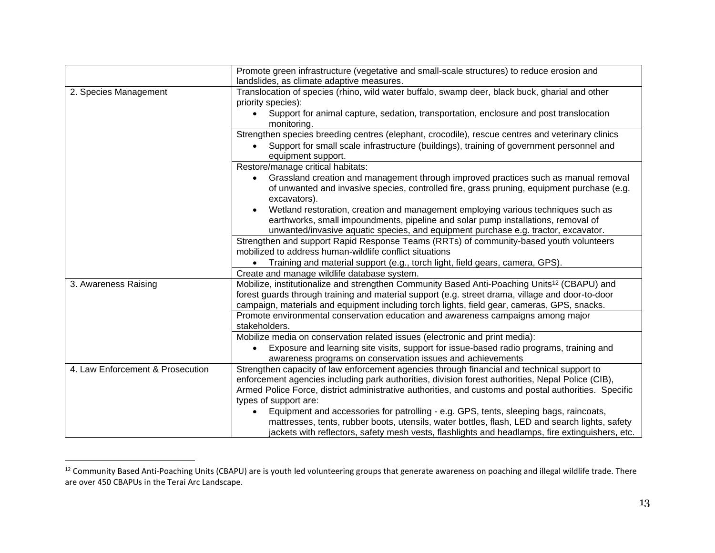|                                  | Promote green infrastructure (vegetative and small-scale structures) to reduce erosion and              |
|----------------------------------|---------------------------------------------------------------------------------------------------------|
|                                  | landslides, as climate adaptive measures.                                                               |
| 2. Species Management            | Translocation of species (rhino, wild water buffalo, swamp deer, black buck, gharial and other          |
|                                  | priority species):                                                                                      |
|                                  | Support for animal capture, sedation, transportation, enclosure and post translocation<br>$\bullet$     |
|                                  | monitoring.                                                                                             |
|                                  | Strengthen species breeding centres (elephant, crocodile), rescue centres and veterinary clinics        |
|                                  | Support for small scale infrastructure (buildings), training of government personnel and<br>$\bullet$   |
|                                  | equipment support.                                                                                      |
|                                  | Restore/manage critical habitats:                                                                       |
|                                  | Grassland creation and management through improved practices such as manual removal<br>$\bullet$        |
|                                  | of unwanted and invasive species, controlled fire, grass pruning, equipment purchase (e.g.              |
|                                  | excavators).                                                                                            |
|                                  | Wetland restoration, creation and management employing various techniques such as<br>$\bullet$          |
|                                  | earthworks, small impoundments, pipeline and solar pump installations, removal of                       |
|                                  | unwanted/invasive aquatic species, and equipment purchase e.g. tractor, excavator.                      |
|                                  | Strengthen and support Rapid Response Teams (RRTs) of community-based youth volunteers                  |
|                                  | mobilized to address human-wildlife conflict situations                                                 |
|                                  | Training and material support (e.g., torch light, field gears, camera, GPS).<br>$\bullet$               |
|                                  | Create and manage wildlife database system.                                                             |
| 3. Awareness Raising             | Mobilize, institutionalize and strengthen Community Based Anti-Poaching Units <sup>12</sup> (CBAPU) and |
|                                  | forest guards through training and material support (e.g. street drama, village and door-to-door        |
|                                  | campaign, materials and equipment including torch lights, field gear, cameras, GPS, snacks.             |
|                                  | Promote environmental conservation education and awareness campaigns among major                        |
|                                  | stakeholders.                                                                                           |
|                                  | Mobilize media on conservation related issues (electronic and print media):                             |
|                                  | Exposure and learning site visits, support for issue-based radio programs, training and<br>$\bullet$    |
|                                  | awareness programs on conservation issues and achievements                                              |
| 4. Law Enforcement & Prosecution | Strengthen capacity of law enforcement agencies through financial and technical support to              |
|                                  | enforcement agencies including park authorities, division forest authorities, Nepal Police (CIB),       |
|                                  | Armed Police Force, district administrative authorities, and customs and postal authorities. Specific   |
|                                  | types of support are:                                                                                   |
|                                  | Equipment and accessories for patrolling - e.g. GPS, tents, sleeping bags, raincoats,<br>$\bullet$      |
|                                  | mattresses, tents, rubber boots, utensils, water bottles, flash, LED and search lights, safety          |
|                                  | jackets with reflectors, safety mesh vests, flashlights and headlamps, fire extinguishers, etc.         |

<sup>&</sup>lt;sup>12</sup> Community Based Anti-Poaching Units (CBAPU) are is youth led volunteering groups that generate awareness on poaching and illegal wildlife trade. There are over 450 CBAPUs in the Terai Arc Landscape.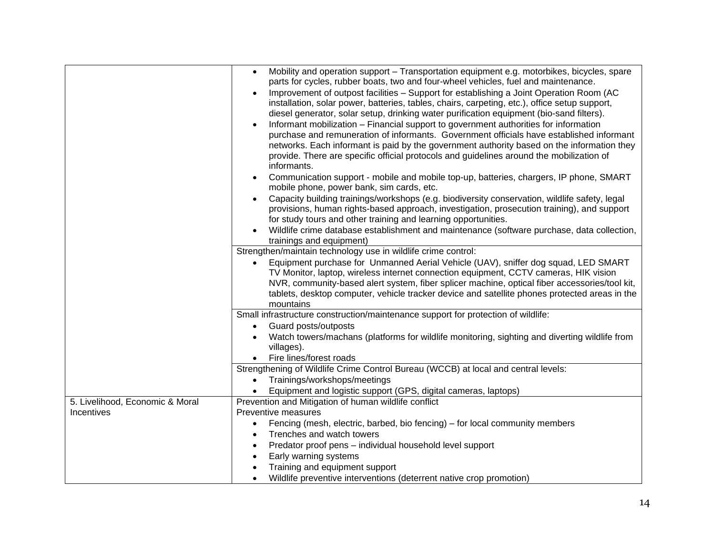|                                 | Mobility and operation support – Transportation equipment e.g. motorbikes, bicycles, spare<br>$\bullet$<br>parts for cycles, rubber boats, two and four-wheel vehicles, fuel and maintenance.<br>Improvement of outpost facilities - Support for establishing a Joint Operation Room (AC<br>$\bullet$<br>installation, solar power, batteries, tables, chairs, carpeting, etc.), office setup support,<br>diesel generator, solar setup, drinking water purification equipment (bio-sand filters).<br>Informant mobilization - Financial support to government authorities for information<br>$\bullet$<br>purchase and remuneration of informants. Government officials have established informant<br>networks. Each informant is paid by the government authority based on the information they<br>provide. There are specific official protocols and guidelines around the mobilization of |
|---------------------------------|-----------------------------------------------------------------------------------------------------------------------------------------------------------------------------------------------------------------------------------------------------------------------------------------------------------------------------------------------------------------------------------------------------------------------------------------------------------------------------------------------------------------------------------------------------------------------------------------------------------------------------------------------------------------------------------------------------------------------------------------------------------------------------------------------------------------------------------------------------------------------------------------------|
|                                 | informants.                                                                                                                                                                                                                                                                                                                                                                                                                                                                                                                                                                                                                                                                                                                                                                                                                                                                                   |
|                                 | Communication support - mobile and mobile top-up, batteries, chargers, IP phone, SMART<br>$\bullet$<br>mobile phone, power bank, sim cards, etc.                                                                                                                                                                                                                                                                                                                                                                                                                                                                                                                                                                                                                                                                                                                                              |
|                                 | Capacity building trainings/workshops (e.g. biodiversity conservation, wildlife safety, legal<br>$\bullet$<br>provisions, human rights-based approach, investigation, prosecution training), and support                                                                                                                                                                                                                                                                                                                                                                                                                                                                                                                                                                                                                                                                                      |
|                                 | for study tours and other training and learning opportunities.                                                                                                                                                                                                                                                                                                                                                                                                                                                                                                                                                                                                                                                                                                                                                                                                                                |
|                                 | Wildlife crime database establishment and maintenance (software purchase, data collection,<br>trainings and equipment)                                                                                                                                                                                                                                                                                                                                                                                                                                                                                                                                                                                                                                                                                                                                                                        |
|                                 | Strengthen/maintain technology use in wildlife crime control:                                                                                                                                                                                                                                                                                                                                                                                                                                                                                                                                                                                                                                                                                                                                                                                                                                 |
|                                 | Equipment purchase for Unmanned Aerial Vehicle (UAV), sniffer dog squad, LED SMART<br>$\bullet$<br>TV Monitor, laptop, wireless internet connection equipment, CCTV cameras, HIK vision                                                                                                                                                                                                                                                                                                                                                                                                                                                                                                                                                                                                                                                                                                       |
|                                 | NVR, community-based alert system, fiber splicer machine, optical fiber accessories/tool kit,<br>tablets, desktop computer, vehicle tracker device and satellite phones protected areas in the<br>mountains                                                                                                                                                                                                                                                                                                                                                                                                                                                                                                                                                                                                                                                                                   |
|                                 | Small infrastructure construction/maintenance support for protection of wildlife:                                                                                                                                                                                                                                                                                                                                                                                                                                                                                                                                                                                                                                                                                                                                                                                                             |
|                                 | Guard posts/outposts<br>$\bullet$                                                                                                                                                                                                                                                                                                                                                                                                                                                                                                                                                                                                                                                                                                                                                                                                                                                             |
|                                 | Watch towers/machans (platforms for wildlife monitoring, sighting and diverting wildlife from<br>villages).                                                                                                                                                                                                                                                                                                                                                                                                                                                                                                                                                                                                                                                                                                                                                                                   |
|                                 | Fire lines/forest roads                                                                                                                                                                                                                                                                                                                                                                                                                                                                                                                                                                                                                                                                                                                                                                                                                                                                       |
|                                 | Strengthening of Wildlife Crime Control Bureau (WCCB) at local and central levels:                                                                                                                                                                                                                                                                                                                                                                                                                                                                                                                                                                                                                                                                                                                                                                                                            |
|                                 | Trainings/workshops/meetings<br>$\bullet$                                                                                                                                                                                                                                                                                                                                                                                                                                                                                                                                                                                                                                                                                                                                                                                                                                                     |
|                                 | Equipment and logistic support (GPS, digital cameras, laptops)                                                                                                                                                                                                                                                                                                                                                                                                                                                                                                                                                                                                                                                                                                                                                                                                                                |
| 5. Livelihood, Economic & Moral | Prevention and Mitigation of human wildlife conflict                                                                                                                                                                                                                                                                                                                                                                                                                                                                                                                                                                                                                                                                                                                                                                                                                                          |
| Incentives                      | Preventive measures                                                                                                                                                                                                                                                                                                                                                                                                                                                                                                                                                                                                                                                                                                                                                                                                                                                                           |
|                                 | Fencing (mesh, electric, barbed, bio fencing) – for local community members<br>$\bullet$                                                                                                                                                                                                                                                                                                                                                                                                                                                                                                                                                                                                                                                                                                                                                                                                      |
|                                 | Trenches and watch towers<br>$\bullet$                                                                                                                                                                                                                                                                                                                                                                                                                                                                                                                                                                                                                                                                                                                                                                                                                                                        |
|                                 | Predator proof pens - individual household level support<br>$\bullet$                                                                                                                                                                                                                                                                                                                                                                                                                                                                                                                                                                                                                                                                                                                                                                                                                         |
|                                 | Early warning systems<br>$\bullet$                                                                                                                                                                                                                                                                                                                                                                                                                                                                                                                                                                                                                                                                                                                                                                                                                                                            |
|                                 | Training and equipment support                                                                                                                                                                                                                                                                                                                                                                                                                                                                                                                                                                                                                                                                                                                                                                                                                                                                |
|                                 | Wildlife preventive interventions (deterrent native crop promotion)                                                                                                                                                                                                                                                                                                                                                                                                                                                                                                                                                                                                                                                                                                                                                                                                                           |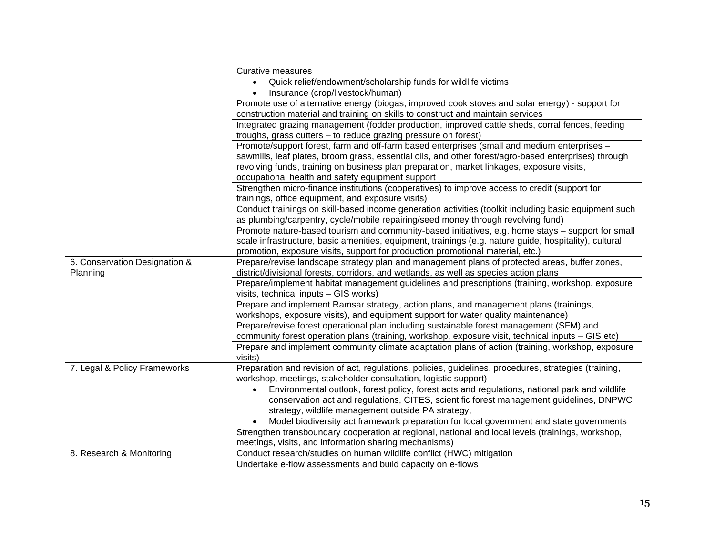|                               | Curative measures                                                                                      |  |  |  |  |  |  |  |  |
|-------------------------------|--------------------------------------------------------------------------------------------------------|--|--|--|--|--|--|--|--|
|                               | Quick relief/endowment/scholarship funds for wildlife victims<br>$\bullet$                             |  |  |  |  |  |  |  |  |
|                               | Insurance (crop/livestock/human)                                                                       |  |  |  |  |  |  |  |  |
|                               | Promote use of alternative energy (biogas, improved cook stoves and solar energy) - support for        |  |  |  |  |  |  |  |  |
|                               | construction material and training on skills to construct and maintain services                        |  |  |  |  |  |  |  |  |
|                               | Integrated grazing management (fodder production, improved cattle sheds, corral fences, feeding        |  |  |  |  |  |  |  |  |
|                               | troughs, grass cutters - to reduce grazing pressure on forest)                                         |  |  |  |  |  |  |  |  |
|                               | Promote/support forest, farm and off-farm based enterprises (small and medium enterprises -            |  |  |  |  |  |  |  |  |
|                               | sawmills, leaf plates, broom grass, essential oils, and other forest/agro-based enterprises) through   |  |  |  |  |  |  |  |  |
|                               | revolving funds, training on business plan preparation, market linkages, exposure visits,              |  |  |  |  |  |  |  |  |
|                               | occupational health and safety equipment support                                                       |  |  |  |  |  |  |  |  |
|                               | Strengthen micro-finance institutions (cooperatives) to improve access to credit (support for          |  |  |  |  |  |  |  |  |
|                               | trainings, office equipment, and exposure visits)                                                      |  |  |  |  |  |  |  |  |
|                               | Conduct trainings on skill-based income generation activities (toolkit including basic equipment such  |  |  |  |  |  |  |  |  |
|                               | as plumbing/carpentry, cycle/mobile repairing/seed money through revolving fund)                       |  |  |  |  |  |  |  |  |
|                               | Promote nature-based tourism and community-based initiatives, e.g. home stays - support for small      |  |  |  |  |  |  |  |  |
|                               | scale infrastructure, basic amenities, equipment, trainings (e.g. nature guide, hospitality), cultural |  |  |  |  |  |  |  |  |
|                               | promotion, exposure visits, support for production promotional material, etc.)                         |  |  |  |  |  |  |  |  |
| 6. Conservation Designation & | Prepare/revise landscape strategy plan and management plans of protected areas, buffer zones,          |  |  |  |  |  |  |  |  |
| Planning                      | district/divisional forests, corridors, and wetlands, as well as species action plans                  |  |  |  |  |  |  |  |  |
|                               | Prepare/implement habitat management guidelines and prescriptions (training, workshop, exposure        |  |  |  |  |  |  |  |  |
|                               | visits, technical inputs - GIS works)                                                                  |  |  |  |  |  |  |  |  |
|                               | Prepare and implement Ramsar strategy, action plans, and management plans (trainings,                  |  |  |  |  |  |  |  |  |
|                               | workshops, exposure visits), and equipment support for water quality maintenance)                      |  |  |  |  |  |  |  |  |
|                               | Prepare/revise forest operational plan including sustainable forest management (SFM) and               |  |  |  |  |  |  |  |  |
|                               | community forest operation plans (training, workshop, exposure visit, technical inputs - GIS etc)      |  |  |  |  |  |  |  |  |
|                               | Prepare and implement community climate adaptation plans of action (training, workshop, exposure       |  |  |  |  |  |  |  |  |
|                               | visits)                                                                                                |  |  |  |  |  |  |  |  |
| 7. Legal & Policy Frameworks  | Preparation and revision of act, regulations, policies, guidelines, procedures, strategies (training,  |  |  |  |  |  |  |  |  |
|                               | workshop, meetings, stakeholder consultation, logistic support)                                        |  |  |  |  |  |  |  |  |
|                               | Environmental outlook, forest policy, forest acts and regulations, national park and wildlife          |  |  |  |  |  |  |  |  |
|                               | conservation act and regulations, CITES, scientific forest management guidelines, DNPWC                |  |  |  |  |  |  |  |  |
|                               | strategy, wildlife management outside PA strategy,                                                     |  |  |  |  |  |  |  |  |
|                               | Model biodiversity act framework preparation for local government and state governments                |  |  |  |  |  |  |  |  |
|                               | Strengthen transboundary cooperation at regional, national and local levels (trainings, workshop,      |  |  |  |  |  |  |  |  |
|                               | meetings, visits, and information sharing mechanisms)                                                  |  |  |  |  |  |  |  |  |
| 8. Research & Monitoring      | Conduct research/studies on human wildlife conflict (HWC) mitigation                                   |  |  |  |  |  |  |  |  |
|                               | Undertake e-flow assessments and build capacity on e-flows                                             |  |  |  |  |  |  |  |  |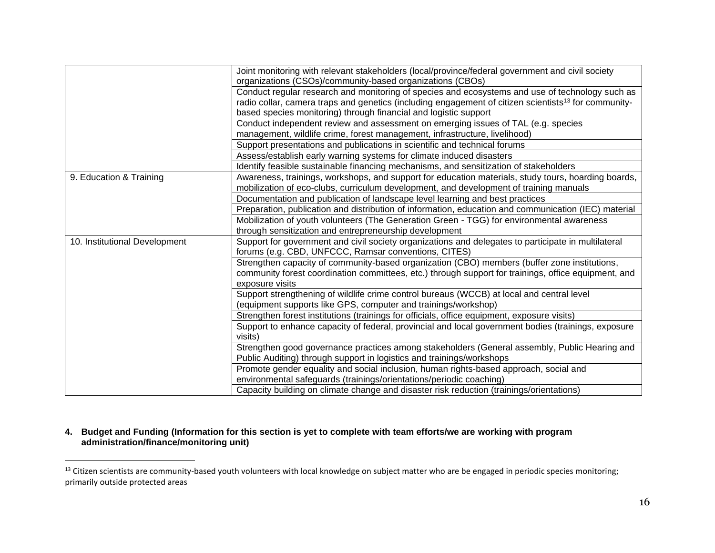|                               | Joint monitoring with relevant stakeholders (local/province/federal government and civil society<br>organizations (CSOs)/community-based organizations (CBOs) |
|-------------------------------|---------------------------------------------------------------------------------------------------------------------------------------------------------------|
|                               | Conduct regular research and monitoring of species and ecosystems and use of technology such as                                                               |
|                               | radio collar, camera traps and genetics (including engagement of citizen scientists <sup>13</sup> for community-                                              |
|                               | based species monitoring) through financial and logistic support                                                                                              |
|                               | Conduct independent review and assessment on emerging issues of TAL (e.g. species                                                                             |
|                               | management, wildlife crime, forest management, infrastructure, livelihood)                                                                                    |
|                               | Support presentations and publications in scientific and technical forums                                                                                     |
|                               | Assess/establish early warning systems for climate induced disasters                                                                                          |
|                               | Identify feasible sustainable financing mechanisms, and sensitization of stakeholders                                                                         |
| 9. Education & Training       | Awareness, trainings, workshops, and support for education materials, study tours, hoarding boards,                                                           |
|                               | mobilization of eco-clubs, curriculum development, and development of training manuals                                                                        |
|                               | Documentation and publication of landscape level learning and best practices                                                                                  |
|                               | Preparation, publication and distribution of information, education and communication (IEC) material                                                          |
|                               | Mobilization of youth volunteers (The Generation Green - TGG) for environmental awareness                                                                     |
|                               | through sensitization and entrepreneurship development                                                                                                        |
| 10. Institutional Development | Support for government and civil society organizations and delegates to participate in multilateral                                                           |
|                               | forums (e.g. CBD, UNFCCC, Ramsar conventions, CITES)                                                                                                          |
|                               | Strengthen capacity of community-based organization (CBO) members (buffer zone institutions,                                                                  |
|                               | community forest coordination committees, etc.) through support for trainings, office equipment, and                                                          |
|                               | exposure visits                                                                                                                                               |
|                               | Support strengthening of wildlife crime control bureaus (WCCB) at local and central level                                                                     |
|                               | (equipment supports like GPS, computer and trainings/workshop)                                                                                                |
|                               | Strengthen forest institutions (trainings for officials, office equipment, exposure visits)                                                                   |
|                               | Support to enhance capacity of federal, provincial and local government bodies (trainings, exposure                                                           |
|                               | visits)                                                                                                                                                       |
|                               | Strengthen good governance practices among stakeholders (General assembly, Public Hearing and                                                                 |
|                               | Public Auditing) through support in logistics and trainings/workshops                                                                                         |
|                               | Promote gender equality and social inclusion, human rights-based approach, social and                                                                         |
|                               | environmental safeguards (trainings/orientations/periodic coaching)                                                                                           |
|                               | Capacity building on climate change and disaster risk reduction (trainings/orientations)                                                                      |

### **4. Budget and Funding (Information for this section is yet to complete with team efforts/we are working with program administration/finance/monitoring unit)**

<sup>&</sup>lt;sup>13</sup> Citizen scientists are community-based youth volunteers with local knowledge on subject matter who are be engaged in periodic species monitoring; primarily outside protected areas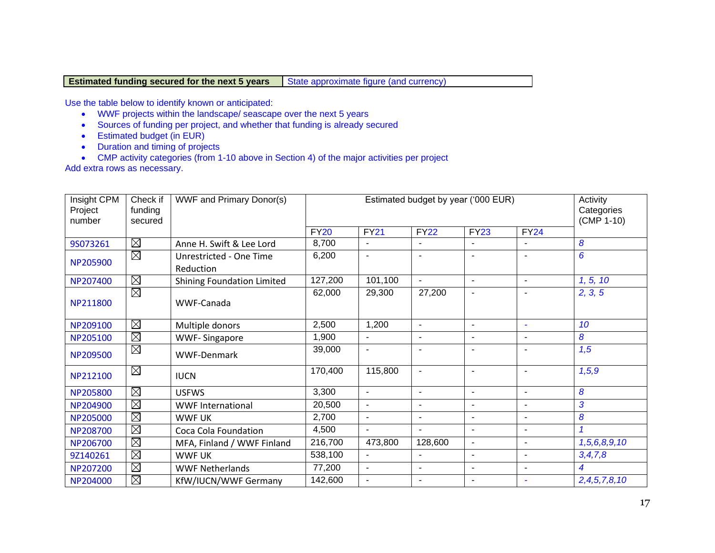## **Estimated funding secured for the next 5 years** State approximate figure (and currency)

Use the table below to identify known or anticipated:

- WWF projects within the landscape/ seascape over the next 5 years
- Sources of funding per project, and whether that funding is already secured
- Estimated budget (in EUR)
- Duration and timing of projects
- CMP activity categories (from 1-10 above in Section 4) of the major activities per project

Add extra rows as necessary.

| Insight CPM<br>Project<br>number | Check if<br>funding<br>secured | <b>WWF and Primary Donor(s)</b>      |             | Activity<br>Categories<br>(CMP 1-10) |                          |                          |                          |                         |
|----------------------------------|--------------------------------|--------------------------------------|-------------|--------------------------------------|--------------------------|--------------------------|--------------------------|-------------------------|
|                                  |                                |                                      | <b>FY20</b> | <b>FY21</b>                          | <b>FY22</b>              | <b>FY23</b>              | <b>FY24</b>              |                         |
| 9S073261                         | $\boxtimes$                    | Anne H. Swift & Lee Lord             | 8,700       |                                      |                          |                          |                          | 8                       |
| NP205900                         | $\boxtimes$                    | Unrestricted - One Time<br>Reduction | 6,200       |                                      | $\overline{\phantom{a}}$ |                          |                          | 6                       |
| NP207400                         | $\boxtimes$                    | <b>Shining Foundation Limited</b>    | 127,200     | 101,100                              | $\blacksquare$           | $\blacksquare$           | $\blacksquare$           | 1, 5, 10                |
| NP211800                         | $\boxtimes$                    | WWF-Canada                           | 62,000      | 29,300                               | 27,200                   | $\blacksquare$           |                          | 2, 3, 5                 |
| NP209100                         | $\boxtimes$                    | Multiple donors                      | 2,500       | 1,200                                | $\blacksquare$           | $\blacksquare$           | $\blacksquare$           | 10                      |
| NP205100                         | $\boxtimes$                    | <b>WWF-Singapore</b>                 | 1,900       | $\sim$                               | $\blacksquare$           | $\blacksquare$           | $\blacksquare$           | 8                       |
| NP209500                         | $\boxtimes$                    | <b>WWF-Denmark</b>                   | 39,000      |                                      | $\overline{\phantom{a}}$ |                          |                          | 1,5                     |
| NP212100                         | $\boxtimes$                    | <b>IUCN</b>                          | 170,400     | 115,800                              | $\overline{\phantom{a}}$ | $\blacksquare$           | $\overline{\phantom{a}}$ | 1, 5, 9                 |
| NP205800                         | $\boxtimes$                    | <b>USFWS</b>                         | 3,300       | $\sim$                               | $\blacksquare$           | $\blacksquare$           | $\blacksquare$           | 8                       |
| NP204900                         | $\boxtimes$                    | <b>WWF International</b>             | 20,500      | $\sim$                               | $\blacksquare$           | $\overline{\phantom{a}}$ | $\blacksquare$           | 3                       |
| NP205000                         | $\boxtimes$                    | <b>WWF UK</b>                        | 2,700       |                                      | $\blacksquare$           | $\overline{\phantom{a}}$ |                          | $\boldsymbol{8}$        |
| NP208700                         | $\boxtimes$                    | Coca Cola Foundation                 | 4,500       | $\sim$                               | $\blacksquare$           | $\blacksquare$           | $\blacksquare$           | $\overline{\mathbf{1}}$ |
| NP206700                         | $\boxtimes$                    | MFA, Finland / WWF Finland           | 216,700     | 473,800                              | 128,600                  | $\blacksquare$           | $\blacksquare$           | 1,5,6,8,9,10            |
| 9Z140261                         | $\boxtimes$                    | <b>WWF UK</b>                        | 538,100     | $\sim$                               |                          | $\blacksquare$           | $\blacksquare$           | 3, 4, 7, 8              |
| NP207200                         | $\boxtimes$                    | <b>WWF Netherlands</b>               | 77,200      | $\sim$                               | $\overline{\phantom{a}}$ | $\overline{\phantom{a}}$ | $\blacksquare$           | 4                       |
| NP204000                         | $\boxtimes$                    | KfW/IUCN/WWF Germany                 | 142,600     |                                      |                          | $\overline{\phantom{a}}$ |                          | 2,4,5,7,8,10            |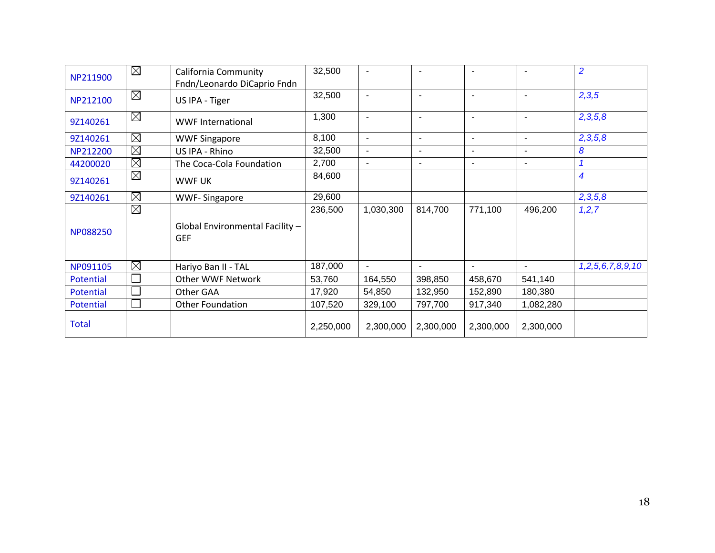| NP211900     | $\boxtimes$ | California Community                          | 32,500    |                |                          |                          |                          | $\overline{2}$   |
|--------------|-------------|-----------------------------------------------|-----------|----------------|--------------------------|--------------------------|--------------------------|------------------|
|              |             | Fndn/Leonardo DiCaprio Fndn                   |           |                |                          |                          |                          |                  |
| NP212100     | $\boxtimes$ | US IPA - Tiger                                | 32,500    | $\blacksquare$ | $\blacksquare$           | $\blacksquare$           | ٠                        | 2,3,5            |
| 9Z140261     | $\boxtimes$ | <b>WWF International</b>                      | 1,300     | $\sim$         | $\blacksquare$           | $\blacksquare$           | $\overline{\phantom{a}}$ | 2,3,5,8          |
| 9Z140261     | $\boxtimes$ | <b>WWF Singapore</b>                          | 8,100     | $\blacksquare$ | $\overline{\phantom{a}}$ | $\sim$                   | $\blacksquare$           | 2,3,5,8          |
| NP212200     | $\boxtimes$ | US IPA - Rhino                                | 32,500    | $\sim$         | $\overline{\phantom{a}}$ | $\overline{\phantom{a}}$ | $\blacksquare$           | 8                |
| 44200020     | $\boxtimes$ | The Coca-Cola Foundation                      | 2,700     |                |                          | $\blacksquare$           |                          | $\mathbf{1}$     |
| 9Z140261     | $\boxtimes$ | WWF UK                                        | 84,600    |                |                          |                          |                          | 4                |
| 9Z140261     | $\boxtimes$ | <b>WWF-Singapore</b>                          | 29,600    |                |                          |                          |                          | 2,3,5,8          |
| NP088250     | $\boxtimes$ | Global Environmental Facility -<br><b>GEF</b> | 236,500   | 1,030,300      | 814,700                  | 771,100                  | 496,200                  | 1, 2, 7          |
| NP091105     | $\boxtimes$ | Hariyo Ban II - TAL                           | 187,000   | $\sim$         | $\overline{\phantom{a}}$ | $\blacksquare$           | $\blacksquare$           | 1,2,5,6,7,8,9,10 |
| Potential    |             | Other WWF Network                             | 53,760    | 164,550        | 398,850                  | 458,670                  | 541,140                  |                  |
| Potential    |             | Other GAA                                     | 17,920    | 54,850         | 132,950                  | 152,890                  | 180,380                  |                  |
| Potential    |             | Other Foundation                              | 107,520   | 329,100        | 797,700                  | 917,340                  | 1,082,280                |                  |
| <b>Total</b> |             |                                               | 2,250,000 | 2,300,000      | 2,300,000                | 2,300,000                | 2,300,000                |                  |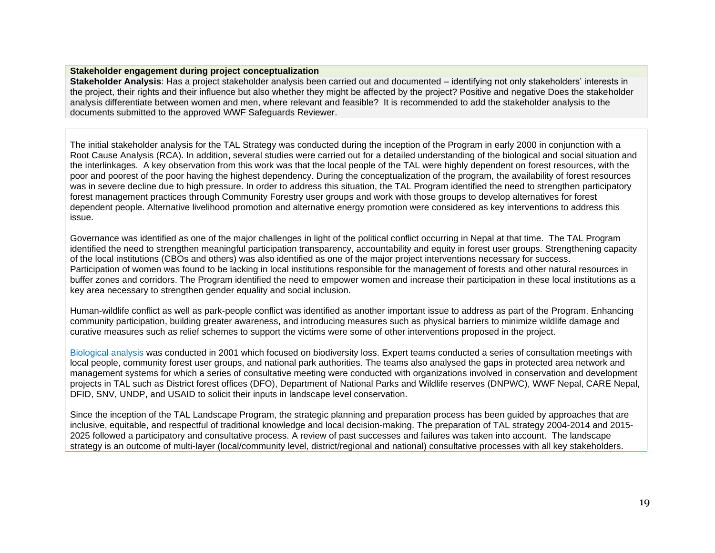#### **Stakeholder engagement during project conceptualization**

**Stakeholder Analysis**: Has a project stakeholder analysis been carried out and documented – identifying not only stakeholders' interests in the project, their rights and their influence but also whether they might be affected by the project? Positive and negative Does the stakeholder analysis differentiate between women and men, where relevant and feasible? It is recommended to add the stakeholder analysis to the documents submitted to the approved WWF Safeguards Reviewer.

The initial stakeholder analysis for the TAL Strategy was conducted during the inception of the Program in early 2000 in conjunction with a Root Cause Analysis (RCA). In addition, several studies were carried out for a detailed understanding of the biological and social situation and the interlinkages. A key observation from this work was that the local people of the TAL were highly dependent on forest resources, with the poor and poorest of the poor having the highest dependency. During the conceptualization of the program, the availability of forest resources was in severe decline due to high pressure. In order to address this situation, the TAL Program identified the need to strengthen participatory forest management practices through Community Forestry user groups and work with those groups to develop alternatives for forest dependent people. Alternative livelihood promotion and alternative energy promotion were considered as key interventions to address this issue.

Governance was identified as one of the major challenges in light of the political conflict occurring in Nepal at that time. The TAL Program identified the need to strengthen meaningful participation transparency, accountability and equity in forest user groups. Strengthening capacity of the local institutions (CBOs and others) was also identified as one of the major project interventions necessary for success. Participation of women was found to be lacking in local institutions responsible for the management of forests and other natural resources in buffer zones and corridors. The Program identified the need to empower women and increase their participation in these local institutions as a key area necessary to strengthen gender equality and social inclusion.

Human-wildlife conflict as well as park-people conflict was identified as another important issue to address as part of the Program. Enhancing community participation, building greater awareness, and introducing measures such as physical barriers to minimize wildlife damage and curative measures such as relief schemes to support the victims were some of other interventions proposed in the project.

[Biological analysis](https://learningportal.wwfnepal.org/resource-view.php?docid=8NODNNNN8edON8s) was conducted in 2001 which focused on biodiversity loss. Expert teams conducted a series of consultation meetings with local people, community forest user groups, and national park authorities. The teams also analysed the gaps in protected area network and management systems for which a series of consultative meeting were conducted with organizations involved in conservation and development projects in TAL such as District forest offices (DFO), Department of National Parks and Wildlife reserves (DNPWC), WWF Nepal, CARE Nepal, DFID, SNV, UNDP, and USAID to solicit their inputs in landscape level conservation.

Since the inception of the TAL Landscape Program, the strategic planning and preparation process has been guided by approaches that are inclusive, equitable, and respectful of traditional knowledge and local decision-making. The preparation of TAL strategy 2004-2014 and 2015- 2025 followed a participatory and consultative process. A review of past successes and failures was taken into account. The landscape strategy is an outcome of multi-layer (local/community level, district/regional and national) consultative processes with all key stakeholders.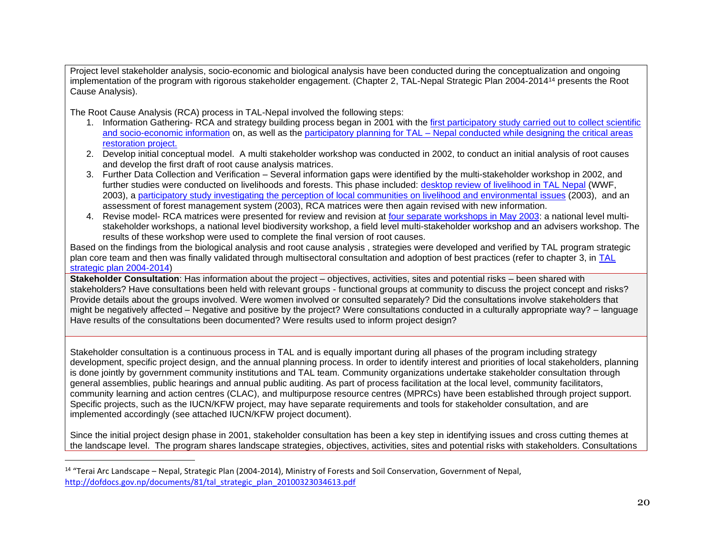Project level stakeholder analysis, socio-economic and biological analysis have been conducted during the conceptualization and ongoing implementation of the program with rigorous stakeholder engagement. (Chapter 2, TAL-Nepal Strategic Plan 2004-2014<sup>14</sup> presents the Root Cause Analysis).

The Root Cause Analysis (RCA) process in TAL-Nepal involved the following steps:

- 1. Information Gathering- RCA and strategy building process began in 2001 with the [first participatory study carried out to collect scientific](https://learningportal.wwfnepal.org/resource-view.php?docid=8NODNNNNersON8s)  [and socio-economic information](https://learningportal.wwfnepal.org/resource-view.php?docid=8NODNNNNersON8s) on, as well as the participatory planning for TAL – [Nepal conducted while designing the critical areas](https://learningportal.wwfnepal.org/resource-view.php?docid=8NODNNNNes8ON8s)  [restoration project.](https://learningportal.wwfnepal.org/resource-view.php?docid=8NODNNNNes8ON8s)
- 2. Develop initial conceptual model. A multi stakeholder workshop was conducted in 2002, to conduct an initial analysis of root causes and develop the first draft of root cause analysis matrices.
- 3. Further Data Collection and Verification Several information gaps were identified by the multi-stakeholder workshop in 2002, and further studies were conducted on livelihoods and forests. This phase included: [desktop review of livelihood in TAL Nepal](https://learningportal.wwfnepal.org/resource-view.php?docid=8NODNNN88eNON8s) (WWF, 2003), a [participatory study investigating the perception of local communities on livelihood and environmental issues](https://learningportal.wwfnepal.org/resource-view.php?docid=8NODNNNNdesON8s) (2003), and an assessment of forest management system (2003), RCA matrices were then again revised with new information.
- 4. Revise model- RCA matrices were presented for review and revision at [four separate workshops](https://learningportal.wwfnepal.org/resource-view.php?docid=8NODNNNNeDKON8s) in May 2003: a national level multistakeholder workshops, a national level biodiversity workshop, a field level multi-stakeholder workshop and an advisers workshop. The results of these workshop were used to complete the final version of root causes.

Based on the findings from the biological analysis and root cause analysis , strategies were developed and verified by TAL program strategic plan core team and then was finally validated through multisectoral consultation and adoption of best practices (refer to chapter 3, in [TAL](http://dofdocs.gov.np/documents/81/tal_strategic_plan_20100323034613.pdf)  [strategic plan 2004-2014\)](http://dofdocs.gov.np/documents/81/tal_strategic_plan_20100323034613.pdf)

**Stakeholder Consultation**: Has information about the project – objectives, activities, sites and potential risks – been shared with stakeholders? Have consultations been held with relevant groups - functional groups at community to discuss the project concept and risks? Provide details about the groups involved. Were women involved or consulted separately? Did the consultations involve stakeholders that might be negatively affected – Negative and positive by the project? Were consultations conducted in a culturally appropriate way? – language Have results of the consultations been documented? Were results used to inform project design?

Stakeholder consultation is a continuous process in TAL and is equally important during all phases of the program including strategy development, specific project design, and the annual planning process. In order to identify interest and priorities of local stakeholders, planning is done jointly by government community institutions and TAL team. Community organizations undertake stakeholder consultation through general assemblies, public hearings and annual public auditing. As part of process facilitation at the local level, community facilitators, community learning and action centres (CLAC), and multipurpose resource centres (MPRCs) have been established through project support. Specific projects, such as the IUCN/KFW project, may have separate requirements and tools for stakeholder consultation, and are implemented accordingly (see attached IUCN/KFW project document).

Since the initial project design phase in 2001, stakeholder consultation has been a key step in identifying issues and cross cutting themes at the landscape level. The program shares landscape strategies, objectives, activities, sites and potential risks with stakeholders. Consultations

<sup>14</sup> "Terai Arc Landscape – Nepal, Strategic Plan (2004-2014), Ministry of Forests and Soil Conservation, Government of Nepal, [http://dofdocs.gov.np/documents/81/tal\\_strategic\\_plan\\_20100323034613.pdf](http://dofdocs.gov.np/documents/81/tal_strategic_plan_20100323034613.pdf)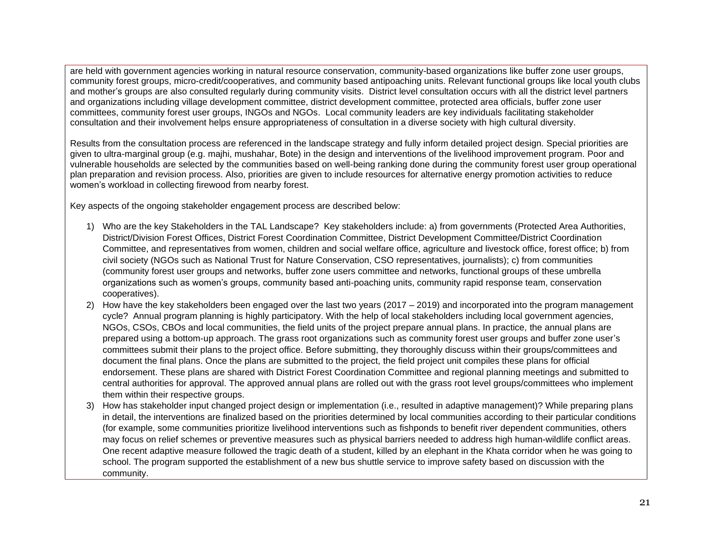are held with government agencies working in natural resource conservation, community-based organizations like buffer zone user groups, community forest groups, micro-credit/cooperatives, and community based antipoaching units. Relevant functional groups like local youth clubs and mother's groups are also consulted regularly during community visits. District level consultation occurs with all the district level partners and organizations including village development committee, district development committee, protected area officials, buffer zone user committees, community forest user groups, INGOs and NGOs. Local community leaders are key individuals facilitating stakeholder consultation and their involvement helps ensure appropriateness of consultation in a diverse society with high cultural diversity.

Results from the consultation process are referenced in the landscape strategy and fully inform detailed project design. Special priorities are given to ultra-marginal group (e.g. majhi, mushahar, Bote) in the design and interventions of the livelihood improvement program. Poor and vulnerable households are selected by the communities based on well-being ranking done during the community forest user group operational plan preparation and revision process. Also, priorities are given to include resources for alternative energy promotion activities to reduce women's workload in collecting firewood from nearby forest.

Key aspects of the ongoing stakeholder engagement process are described below:

- 1) Who are the key Stakeholders in the TAL Landscape? Key stakeholders include: a) from governments (Protected Area Authorities, District/Division Forest Offices, District Forest Coordination Committee, District Development Committee/District Coordination Committee, and representatives from women, children and social welfare office, agriculture and livestock office, forest office; b) from civil society (NGOs such as National Trust for Nature Conservation, CSO representatives, journalists); c) from communities (community forest user groups and networks, buffer zone users committee and networks, functional groups of these umbrella organizations such as women's groups, community based anti-poaching units, community rapid response team, conservation cooperatives).
- 2) How have the key stakeholders been engaged over the last two years (2017 2019) and incorporated into the program management cycle? Annual program planning is highly participatory. With the help of local stakeholders including local government agencies, NGOs, CSOs, CBOs and local communities, the field units of the project prepare annual plans. In practice, the annual plans are prepared using a bottom-up approach. The grass root organizations such as community forest user groups and buffer zone user's committees submit their plans to the project office. Before submitting, they thoroughly discuss within their groups/committees and document the final plans. Once the plans are submitted to the project, the field project unit compiles these plans for official endorsement. These plans are shared with District Forest Coordination Committee and regional planning meetings and submitted to central authorities for approval. The approved annual plans are rolled out with the grass root level groups/committees who implement them within their respective groups.
- 3) How has stakeholder input changed project design or implementation (i.e., resulted in adaptive management)? While preparing plans in detail, the interventions are finalized based on the priorities determined by local communities according to their particular conditions (for example, some communities prioritize livelihood interventions such as fishponds to benefit river dependent communities, others may focus on relief schemes or preventive measures such as physical barriers needed to address high human-wildlife conflict areas. One recent adaptive measure followed the tragic death of a student, killed by an elephant in the Khata corridor when he was going to school. The program supported the establishment of a new bus shuttle service to improve safety based on discussion with the community.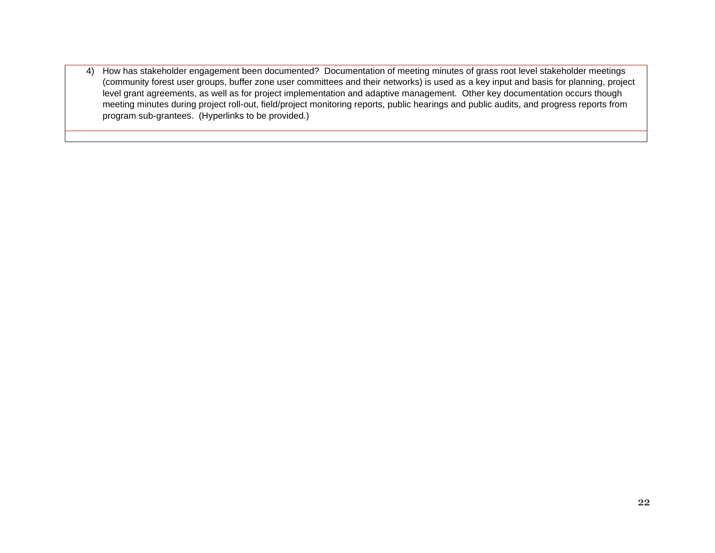4) How has stakeholder engagement been documented? Documentation of meeting minutes of grass root level stakeholder meetings (community forest user groups, buffer zone user committees and their networks) is used as a key input and basis for planning, project level grant agreements, as well as for project implementation and adaptive management. Other key documentation occurs though meeting minutes during project roll-out, field/project monitoring reports, public hearings and public audits, and progress reports from program sub-grantees. (Hyperlinks to be provided.)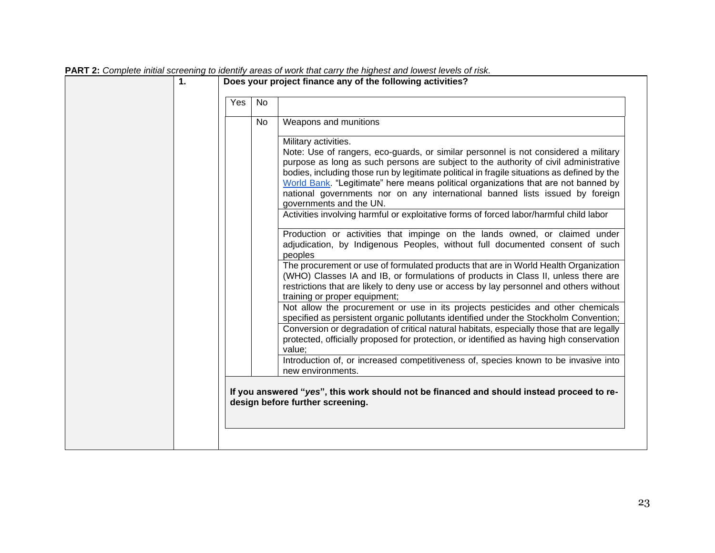| Yes | No |                                                                                                                                                                                                                                                                                                                                                                                                                                                                                                                                                                                                                                                                                                                                                                                                                                                               |
|-----|----|---------------------------------------------------------------------------------------------------------------------------------------------------------------------------------------------------------------------------------------------------------------------------------------------------------------------------------------------------------------------------------------------------------------------------------------------------------------------------------------------------------------------------------------------------------------------------------------------------------------------------------------------------------------------------------------------------------------------------------------------------------------------------------------------------------------------------------------------------------------|
|     | No | Weapons and munitions                                                                                                                                                                                                                                                                                                                                                                                                                                                                                                                                                                                                                                                                                                                                                                                                                                         |
|     |    | Military activities.<br>Note: Use of rangers, eco-guards, or similar personnel is not considered a military<br>purpose as long as such persons are subject to the authority of civil administrative<br>bodies, including those run by legitimate political in fragile situations as defined by the<br>World Bank. "Legitimate" here means political organizations that are not banned by<br>national governments nor on any international banned lists issued by foreign<br>governments and the UN.<br>Activities involving harmful or exploitative forms of forced labor/harmful child labor<br>Production or activities that impinge on the lands owned, or claimed under<br>adjudication, by Indigenous Peoples, without full documented consent of such<br>peoples<br>The procurement or use of formulated products that are in World Health Organization |
|     |    | (WHO) Classes IA and IB, or formulations of products in Class II, unless there are<br>restrictions that are likely to deny use or access by lay personnel and others without<br>training or proper equipment;<br>Not allow the procurement or use in its projects pesticides and other chemicals                                                                                                                                                                                                                                                                                                                                                                                                                                                                                                                                                              |
|     |    | specified as persistent organic pollutants identified under the Stockholm Convention;<br>Conversion or degradation of critical natural habitats, especially those that are legally<br>protected, officially proposed for protection, or identified as having high conservation<br>value;                                                                                                                                                                                                                                                                                                                                                                                                                                                                                                                                                                      |
|     |    | Introduction of, or increased competitiveness of, species known to be invasive into<br>new environments.                                                                                                                                                                                                                                                                                                                                                                                                                                                                                                                                                                                                                                                                                                                                                      |
|     |    | If you answered "yes", this work should not be financed and should instead proceed to re-<br>design before further screening.                                                                                                                                                                                                                                                                                                                                                                                                                                                                                                                                                                                                                                                                                                                                 |

# **PART 2:** *Complete initial screening to identify areas of work that carry the highest and lowest levels of risk.*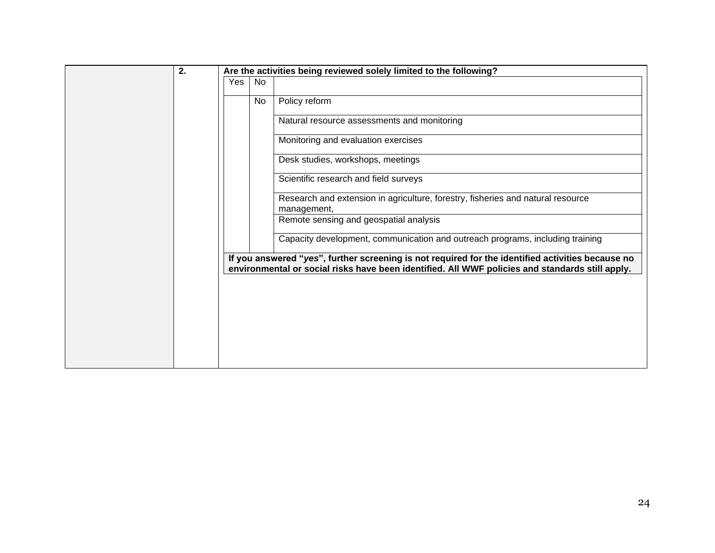| 2. |     |     | Are the activities being reviewed solely limited to the following?                                                                                                                                   |
|----|-----|-----|------------------------------------------------------------------------------------------------------------------------------------------------------------------------------------------------------|
|    | Yes | No  |                                                                                                                                                                                                      |
|    |     | No. | Policy reform                                                                                                                                                                                        |
|    |     |     | Natural resource assessments and monitoring                                                                                                                                                          |
|    |     |     | Monitoring and evaluation exercises                                                                                                                                                                  |
|    |     |     | Desk studies, workshops, meetings                                                                                                                                                                    |
|    |     |     | Scientific research and field surveys                                                                                                                                                                |
|    |     |     | Research and extension in agriculture, forestry, fisheries and natural resource<br>management,                                                                                                       |
|    |     |     | Remote sensing and geospatial analysis                                                                                                                                                               |
|    |     |     | Capacity development, communication and outreach programs, including training                                                                                                                        |
|    |     |     | If you answered "yes", further screening is not required for the identified activities because no<br>environmental or social risks have been identified. All WWF policies and standards still apply. |
|    |     |     |                                                                                                                                                                                                      |
|    |     |     |                                                                                                                                                                                                      |
|    |     |     |                                                                                                                                                                                                      |
|    |     |     |                                                                                                                                                                                                      |
|    |     |     |                                                                                                                                                                                                      |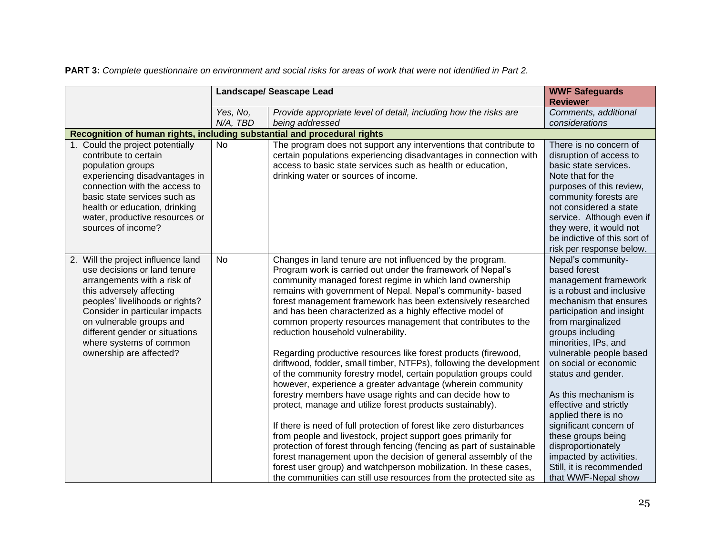|                                                                                                                                                                                                                                                                                                                        | Landscape/ Seascape Lead | <b>WWF Safeguards</b>                                                                                                                                                                                                                                                                                                                                                                                                                                                                                                                                                                                                                                                                                                                                                                                                                                                                                                                                                                                                                                                                                                                                                                                                                                                                                              |                                                                                                                                                                                                                                                                                                                                                                                                                                                                                                                                                    |
|------------------------------------------------------------------------------------------------------------------------------------------------------------------------------------------------------------------------------------------------------------------------------------------------------------------------|--------------------------|--------------------------------------------------------------------------------------------------------------------------------------------------------------------------------------------------------------------------------------------------------------------------------------------------------------------------------------------------------------------------------------------------------------------------------------------------------------------------------------------------------------------------------------------------------------------------------------------------------------------------------------------------------------------------------------------------------------------------------------------------------------------------------------------------------------------------------------------------------------------------------------------------------------------------------------------------------------------------------------------------------------------------------------------------------------------------------------------------------------------------------------------------------------------------------------------------------------------------------------------------------------------------------------------------------------------|----------------------------------------------------------------------------------------------------------------------------------------------------------------------------------------------------------------------------------------------------------------------------------------------------------------------------------------------------------------------------------------------------------------------------------------------------------------------------------------------------------------------------------------------------|
|                                                                                                                                                                                                                                                                                                                        |                          |                                                                                                                                                                                                                                                                                                                                                                                                                                                                                                                                                                                                                                                                                                                                                                                                                                                                                                                                                                                                                                                                                                                                                                                                                                                                                                                    | <b>Reviewer</b>                                                                                                                                                                                                                                                                                                                                                                                                                                                                                                                                    |
|                                                                                                                                                                                                                                                                                                                        | Yes, No,                 | Provide appropriate level of detail, including how the risks are                                                                                                                                                                                                                                                                                                                                                                                                                                                                                                                                                                                                                                                                                                                                                                                                                                                                                                                                                                                                                                                                                                                                                                                                                                                   | Comments, additional                                                                                                                                                                                                                                                                                                                                                                                                                                                                                                                               |
|                                                                                                                                                                                                                                                                                                                        | N/A, TBD                 | being addressed                                                                                                                                                                                                                                                                                                                                                                                                                                                                                                                                                                                                                                                                                                                                                                                                                                                                                                                                                                                                                                                                                                                                                                                                                                                                                                    | considerations                                                                                                                                                                                                                                                                                                                                                                                                                                                                                                                                     |
| Recognition of human rights, including substantial and procedural rights                                                                                                                                                                                                                                               |                          |                                                                                                                                                                                                                                                                                                                                                                                                                                                                                                                                                                                                                                                                                                                                                                                                                                                                                                                                                                                                                                                                                                                                                                                                                                                                                                                    |                                                                                                                                                                                                                                                                                                                                                                                                                                                                                                                                                    |
| 1. Could the project potentially<br>contribute to certain<br>population groups<br>experiencing disadvantages in<br>connection with the access to<br>basic state services such as<br>health or education, drinking<br>water, productive resources or<br>sources of income?                                              | No                       | The program does not support any interventions that contribute to<br>certain populations experiencing disadvantages in connection with<br>access to basic state services such as health or education,<br>drinking water or sources of income.                                                                                                                                                                                                                                                                                                                                                                                                                                                                                                                                                                                                                                                                                                                                                                                                                                                                                                                                                                                                                                                                      | There is no concern of<br>disruption of access to<br>basic state services.<br>Note that for the<br>purposes of this review,<br>community forests are<br>not considered a state<br>service. Although even if<br>they were, it would not<br>be indictive of this sort of                                                                                                                                                                                                                                                                             |
| 2. Will the project influence land<br>use decisions or land tenure<br>arrangements with a risk of<br>this adversely affecting<br>peoples' livelihoods or rights?<br>Consider in particular impacts<br>on vulnerable groups and<br>different gender or situations<br>where systems of common<br>ownership are affected? | <b>No</b>                | Changes in land tenure are not influenced by the program.<br>Program work is carried out under the framework of Nepal's<br>community managed forest regime in which land ownership<br>remains with government of Nepal. Nepal's community- based<br>forest management framework has been extensively researched<br>and has been characterized as a highly effective model of<br>common property resources management that contributes to the<br>reduction household vulnerability.<br>Regarding productive resources like forest products (firewood,<br>driftwood, fodder, small timber, NTFPs), following the development<br>of the community forestry model, certain population groups could<br>however, experience a greater advantage (wherein community<br>forestry members have usage rights and can decide how to<br>protect, manage and utilize forest products sustainably).<br>If there is need of full protection of forest like zero disturbances<br>from people and livestock, project support goes primarily for<br>protection of forest through fencing (fencing as part of sustainable<br>forest management upon the decision of general assembly of the<br>forest user group) and watchperson mobilization. In these cases,<br>the communities can still use resources from the protected site as | risk per response below.<br>Nepal's community-<br>based forest<br>management framework<br>is a robust and inclusive<br>mechanism that ensures<br>participation and insight<br>from marginalized<br>groups including<br>minorities, IPs, and<br>vulnerable people based<br>on social or economic<br>status and gender.<br>As this mechanism is<br>effective and strictly<br>applied there is no<br>significant concern of<br>these groups being<br>disproportionately<br>impacted by activities.<br>Still, it is recommended<br>that WWF-Nepal show |

**PART 3:** *Complete questionnaire on environment and social risks for areas of work that were not identified in Part 2.*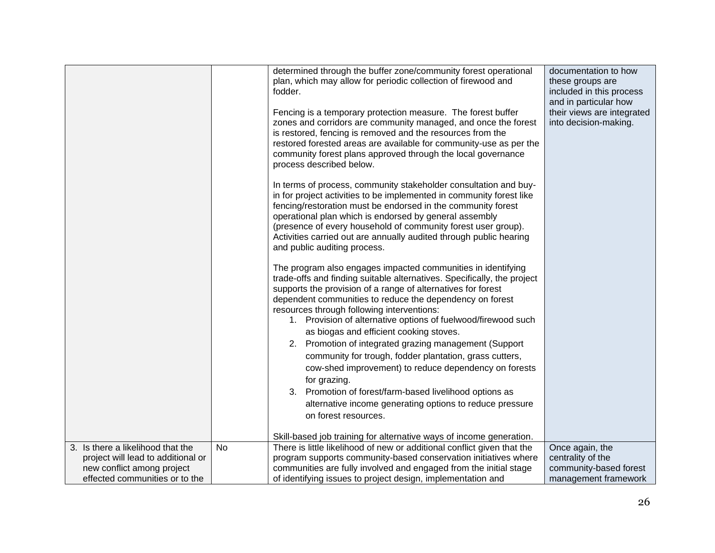|                                    |           | determined through the buffer zone/community forest operational<br>plan, which may allow for periodic collection of firewood and<br>fodder.<br>Fencing is a temporary protection measure. The forest buffer<br>zones and corridors are community managed, and once the forest<br>is restored, fencing is removed and the resources from the<br>restored forested areas are available for community-use as per the<br>community forest plans approved through the local governance<br>process described below.<br>In terms of process, community stakeholder consultation and buy-<br>in for project activities to be implemented in community forest like<br>fencing/restoration must be endorsed in the community forest<br>operational plan which is endorsed by general assembly<br>(presence of every household of community forest user group).<br>Activities carried out are annually audited through public hearing<br>and public auditing process.<br>The program also engages impacted communities in identifying<br>trade-offs and finding suitable alternatives. Specifically, the project<br>supports the provision of a range of alternatives for forest<br>dependent communities to reduce the dependency on forest<br>resources through following interventions:<br>1. Provision of alternative options of fuelwood/firewood such<br>as biogas and efficient cooking stoves.<br>2. Promotion of integrated grazing management (Support<br>community for trough, fodder plantation, grass cutters,<br>cow-shed improvement) to reduce dependency on forests<br>for grazing.<br>3. Promotion of forest/farm-based livelihood options as<br>alternative income generating options to reduce pressure<br>on forest resources.<br>Skill-based job training for alternative ways of income generation. | documentation to how<br>these groups are<br>included in this process<br>and in particular how<br>their views are integrated<br>into decision-making. |
|------------------------------------|-----------|-----------------------------------------------------------------------------------------------------------------------------------------------------------------------------------------------------------------------------------------------------------------------------------------------------------------------------------------------------------------------------------------------------------------------------------------------------------------------------------------------------------------------------------------------------------------------------------------------------------------------------------------------------------------------------------------------------------------------------------------------------------------------------------------------------------------------------------------------------------------------------------------------------------------------------------------------------------------------------------------------------------------------------------------------------------------------------------------------------------------------------------------------------------------------------------------------------------------------------------------------------------------------------------------------------------------------------------------------------------------------------------------------------------------------------------------------------------------------------------------------------------------------------------------------------------------------------------------------------------------------------------------------------------------------------------------------------------------------------------------------------------------------------------------------------------------|------------------------------------------------------------------------------------------------------------------------------------------------------|
| 3. Is there a likelihood that the  | <b>No</b> | There is little likelihood of new or additional conflict given that the                                                                                                                                                                                                                                                                                                                                                                                                                                                                                                                                                                                                                                                                                                                                                                                                                                                                                                                                                                                                                                                                                                                                                                                                                                                                                                                                                                                                                                                                                                                                                                                                                                                                                                                                         | Once again, the                                                                                                                                      |
| project will lead to additional or |           | program supports community-based conservation initiatives where                                                                                                                                                                                                                                                                                                                                                                                                                                                                                                                                                                                                                                                                                                                                                                                                                                                                                                                                                                                                                                                                                                                                                                                                                                                                                                                                                                                                                                                                                                                                                                                                                                                                                                                                                 | centrality of the                                                                                                                                    |
| new conflict among project         |           | communities are fully involved and engaged from the initial stage                                                                                                                                                                                                                                                                                                                                                                                                                                                                                                                                                                                                                                                                                                                                                                                                                                                                                                                                                                                                                                                                                                                                                                                                                                                                                                                                                                                                                                                                                                                                                                                                                                                                                                                                               | community-based forest                                                                                                                               |
| effected communities or to the     |           | of identifying issues to project design, implementation and                                                                                                                                                                                                                                                                                                                                                                                                                                                                                                                                                                                                                                                                                                                                                                                                                                                                                                                                                                                                                                                                                                                                                                                                                                                                                                                                                                                                                                                                                                                                                                                                                                                                                                                                                     | management framework                                                                                                                                 |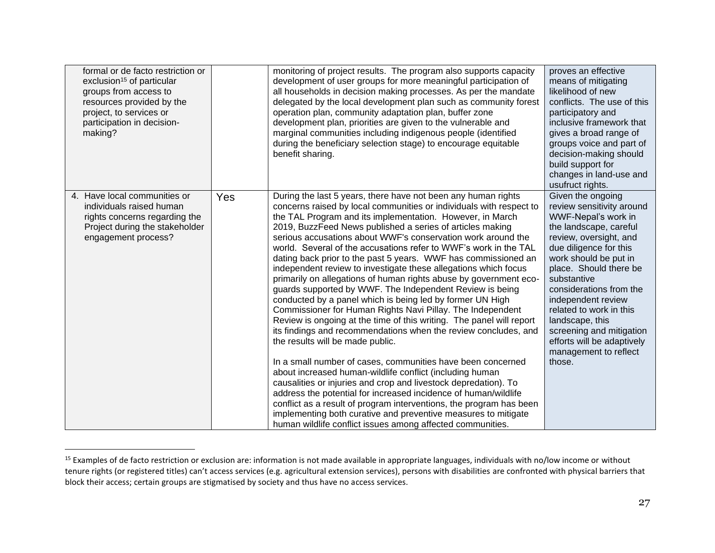| formal or de facto restriction or<br>exclusion <sup>15</sup> of particular<br>groups from access to<br>resources provided by the<br>project, to services or<br>participation in decision-<br>making? |     | monitoring of project results. The program also supports capacity<br>development of user groups for more meaningful participation of<br>all households in decision making processes. As per the mandate<br>delegated by the local development plan such as community forest<br>operation plan, community adaptation plan, buffer zone<br>development plan, priorities are given to the vulnerable and<br>marginal communities including indigenous people (identified<br>during the beneficiary selection stage) to encourage equitable<br>benefit sharing.                                                                                                                                                                                                                                                                                                                                                                                                                                                                                                                                                                                                                                                                                                                                                                                                                                                                                                | proves an effective<br>means of mitigating<br>likelihood of new<br>conflicts. The use of this<br>participatory and<br>inclusive framework that<br>gives a broad range of<br>groups voice and part of<br>decision-making should<br>build support for<br>changes in land-use and<br>usufruct rights.                                                                                                                |
|------------------------------------------------------------------------------------------------------------------------------------------------------------------------------------------------------|-----|------------------------------------------------------------------------------------------------------------------------------------------------------------------------------------------------------------------------------------------------------------------------------------------------------------------------------------------------------------------------------------------------------------------------------------------------------------------------------------------------------------------------------------------------------------------------------------------------------------------------------------------------------------------------------------------------------------------------------------------------------------------------------------------------------------------------------------------------------------------------------------------------------------------------------------------------------------------------------------------------------------------------------------------------------------------------------------------------------------------------------------------------------------------------------------------------------------------------------------------------------------------------------------------------------------------------------------------------------------------------------------------------------------------------------------------------------------|-------------------------------------------------------------------------------------------------------------------------------------------------------------------------------------------------------------------------------------------------------------------------------------------------------------------------------------------------------------------------------------------------------------------|
| 4. Have local communities or<br>individuals raised human<br>rights concerns regarding the<br>Project during the stakeholder<br>engagement process?                                                   | Yes | During the last 5 years, there have not been any human rights<br>concerns raised by local communities or individuals with respect to<br>the TAL Program and its implementation. However, in March<br>2019, BuzzFeed News published a series of articles making<br>serious accusations about WWF's conservation work around the<br>world. Several of the accusations refer to WWF's work in the TAL<br>dating back prior to the past 5 years. WWF has commissioned an<br>independent review to investigate these allegations which focus<br>primarily on allegations of human rights abuse by government eco-<br>guards supported by WWF. The Independent Review is being<br>conducted by a panel which is being led by former UN High<br>Commissioner for Human Rights Navi Pillay. The Independent<br>Review is ongoing at the time of this writing. The panel will report<br>its findings and recommendations when the review concludes, and<br>the results will be made public.<br>In a small number of cases, communities have been concerned<br>about increased human-wildlife conflict (including human<br>causalities or injuries and crop and livestock depredation). To<br>address the potential for increased incidence of human/wildlife<br>conflict as a result of program interventions, the program has been<br>implementing both curative and preventive measures to mitigate<br>human wildlife conflict issues among affected communities. | Given the ongoing<br>review sensitivity around<br>WWF-Nepal's work in<br>the landscape, careful<br>review, oversight, and<br>due diligence for this<br>work should be put in<br>place. Should there be<br>substantive<br>considerations from the<br>independent review<br>related to work in this<br>landscape, this<br>screening and mitigation<br>efforts will be adaptively<br>management to reflect<br>those. |

<sup>&</sup>lt;sup>15</sup> Examples of de facto restriction or exclusion are: information is not made available in appropriate languages, individuals with no/low income or without tenure rights (or registered titles) can't access services (e.g. agricultural extension services), persons with disabilities are confronted with physical barriers that block their access; certain groups are stigmatised by society and thus have no access services.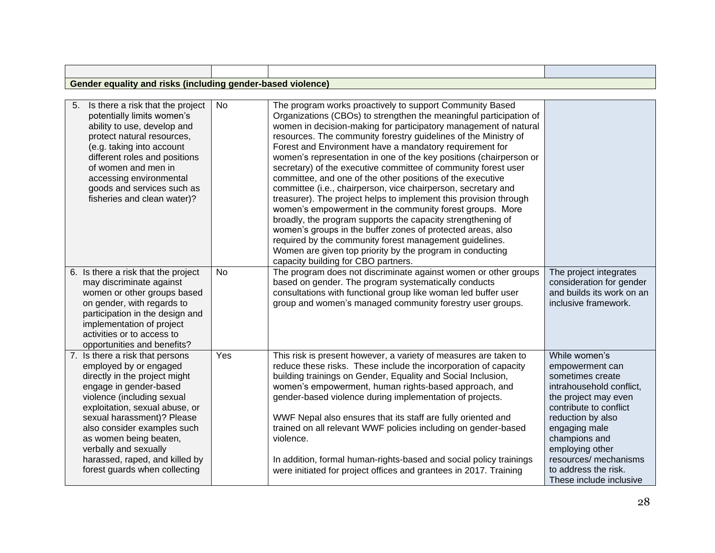| Gender equality and risks (including g<br>1 gender-based violence) |  |  |  |  |  |  |
|--------------------------------------------------------------------|--|--|--|--|--|--|

| 5.<br>Is there a risk that the project<br>potentially limits women's<br>ability to use, develop and<br>protect natural resources,<br>(e.g. taking into account<br>different roles and positions<br>of women and men in<br>accessing environmental<br>goods and services such as<br>fisheries and clean water)?                                                          | <b>No</b> | The program works proactively to support Community Based<br>Organizations (CBOs) to strengthen the meaningful participation of<br>women in decision-making for participatory management of natural<br>resources. The community forestry guidelines of the Ministry of<br>Forest and Environment have a mandatory requirement for<br>women's representation in one of the key positions (chairperson or<br>secretary) of the executive committee of community forest user<br>committee, and one of the other positions of the executive<br>committee (i.e., chairperson, vice chairperson, secretary and<br>treasurer). The project helps to implement this provision through<br>women's empowerment in the community forest groups. More<br>broadly, the program supports the capacity strengthening of<br>women's groups in the buffer zones of protected areas, also<br>required by the community forest management guidelines.<br>Women are given top priority by the program in conducting<br>capacity building for CBO partners. |                                                                                                                                                                                                                                                                                          |
|-------------------------------------------------------------------------------------------------------------------------------------------------------------------------------------------------------------------------------------------------------------------------------------------------------------------------------------------------------------------------|-----------|---------------------------------------------------------------------------------------------------------------------------------------------------------------------------------------------------------------------------------------------------------------------------------------------------------------------------------------------------------------------------------------------------------------------------------------------------------------------------------------------------------------------------------------------------------------------------------------------------------------------------------------------------------------------------------------------------------------------------------------------------------------------------------------------------------------------------------------------------------------------------------------------------------------------------------------------------------------------------------------------------------------------------------------|------------------------------------------------------------------------------------------------------------------------------------------------------------------------------------------------------------------------------------------------------------------------------------------|
| 6. Is there a risk that the project<br>may discriminate against<br>women or other groups based<br>on gender, with regards to<br>participation in the design and<br>implementation of project<br>activities or to access to<br>opportunities and benefits?                                                                                                               | <b>No</b> | The program does not discriminate against women or other groups<br>based on gender. The program systematically conducts<br>consultations with functional group like woman led buffer user<br>group and women's managed community forestry user groups.                                                                                                                                                                                                                                                                                                                                                                                                                                                                                                                                                                                                                                                                                                                                                                                | The project integrates<br>consideration for gender<br>and builds its work on an<br>inclusive framework.                                                                                                                                                                                  |
| 7. Is there a risk that persons<br>employed by or engaged<br>directly in the project might<br>engage in gender-based<br>violence (including sexual<br>exploitation, sexual abuse, or<br>sexual harassment)? Please<br>also consider examples such<br>as women being beaten,<br>verbally and sexually<br>harassed, raped, and killed by<br>forest guards when collecting | Yes       | This risk is present however, a variety of measures are taken to<br>reduce these risks. These include the incorporation of capacity<br>building trainings on Gender, Equality and Social Inclusion,<br>women's empowerment, human rights-based approach, and<br>gender-based violence during implementation of projects.<br>WWF Nepal also ensures that its staff are fully oriented and<br>trained on all relevant WWF policies including on gender-based<br>violence.<br>In addition, formal human-rights-based and social policy trainings<br>were initiated for project offices and grantees in 2017. Training                                                                                                                                                                                                                                                                                                                                                                                                                    | While women's<br>empowerment can<br>sometimes create<br>intrahousehold conflict,<br>the project may even<br>contribute to conflict<br>reduction by also<br>engaging male<br>champions and<br>employing other<br>resources/ mechanisms<br>to address the risk.<br>These include inclusive |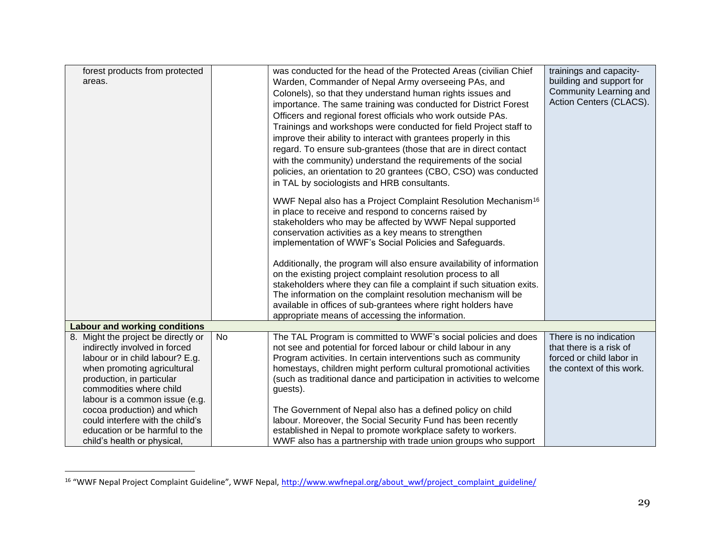| forest products from protected       |    | was conducted for the head of the Protected Areas (civilian Chief         | trainings and capacity-   |
|--------------------------------------|----|---------------------------------------------------------------------------|---------------------------|
| areas.                               |    |                                                                           | building and support for  |
|                                      |    | Warden, Commander of Nepal Army overseeing PAs, and                       | Community Learning and    |
|                                      |    | Colonels), so that they understand human rights issues and                | Action Centers (CLACS).   |
|                                      |    | importance. The same training was conducted for District Forest           |                           |
|                                      |    | Officers and regional forest officials who work outside PAs.              |                           |
|                                      |    | Trainings and workshops were conducted for field Project staff to         |                           |
|                                      |    | improve their ability to interact with grantees properly in this          |                           |
|                                      |    | regard. To ensure sub-grantees (those that are in direct contact          |                           |
|                                      |    | with the community) understand the requirements of the social             |                           |
|                                      |    | policies, an orientation to 20 grantees (CBO, CSO) was conducted          |                           |
|                                      |    | in TAL by sociologists and HRB consultants.                               |                           |
|                                      |    |                                                                           |                           |
|                                      |    | WWF Nepal also has a Project Complaint Resolution Mechanism <sup>16</sup> |                           |
|                                      |    | in place to receive and respond to concerns raised by                     |                           |
|                                      |    | stakeholders who may be affected by WWF Nepal supported                   |                           |
|                                      |    | conservation activities as a key means to strengthen                      |                           |
|                                      |    | implementation of WWF's Social Policies and Safeguards.                   |                           |
|                                      |    |                                                                           |                           |
|                                      |    | Additionally, the program will also ensure availability of information    |                           |
|                                      |    | on the existing project complaint resolution process to all               |                           |
|                                      |    | stakeholders where they can file a complaint if such situation exits.     |                           |
|                                      |    | The information on the complaint resolution mechanism will be             |                           |
|                                      |    | available in offices of sub-grantees where right holders have             |                           |
|                                      |    | appropriate means of accessing the information.                           |                           |
| <b>Labour and working conditions</b> |    |                                                                           |                           |
| 8. Might the project be directly or  | No | The TAL Program is committed to WWF's social policies and does            | There is no indication    |
| indirectly involved in forced        |    | not see and potential for forced labour or child labour in any            | that there is a risk of   |
| labour or in child labour? E.g.      |    | Program activities. In certain interventions such as community            | forced or child labor in  |
| when promoting agricultural          |    | homestays, children might perform cultural promotional activities         | the context of this work. |
| production, in particular            |    | (such as traditional dance and participation in activities to welcome     |                           |
| commodities where child              |    | guests).                                                                  |                           |
| labour is a common issue (e.g.       |    |                                                                           |                           |
| cocoa production) and which          |    | The Government of Nepal also has a defined policy on child                |                           |
| could interfere with the child's     |    | labour. Moreover, the Social Security Fund has been recently              |                           |
| education or be harmful to the       |    | established in Nepal to promote workplace safety to workers.              |                           |
| child's health or physical,          |    | WWF also has a partnership with trade union groups who support            |                           |

<sup>&</sup>lt;sup>16</sup> "WWF Nepal Project Complaint Guideline", WWF Nepal, [http://www.wwfnepal.org/about\\_wwf/project\\_complaint\\_guideline/](http://www.wwfnepal.org/about_wwf/project_complaint_guideline/)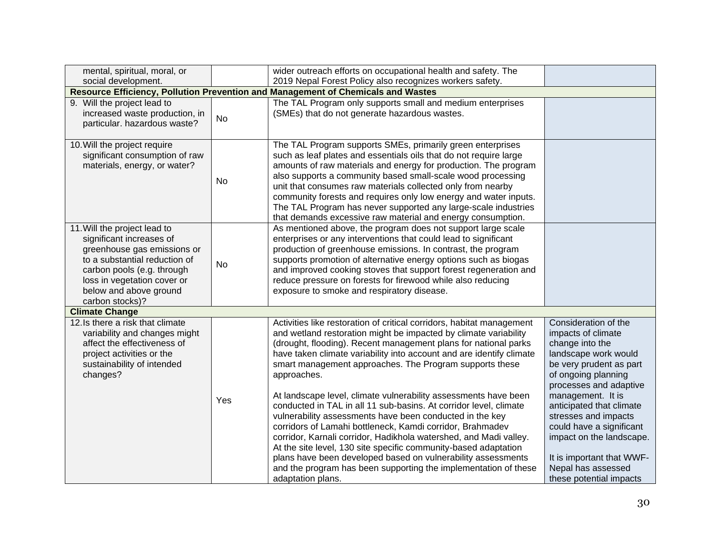| mental, spiritual, moral, or                                                                                                                                                                                                       |     | wider outreach efforts on occupational health and safety. The                                                                                                                                                                                                                                                                                                                                                                                                                                                                                                                                                                                                                                                                                                                                                                                                                                                                   |                                                                                                                                                                                                                                                                                                                                                                                  |
|------------------------------------------------------------------------------------------------------------------------------------------------------------------------------------------------------------------------------------|-----|---------------------------------------------------------------------------------------------------------------------------------------------------------------------------------------------------------------------------------------------------------------------------------------------------------------------------------------------------------------------------------------------------------------------------------------------------------------------------------------------------------------------------------------------------------------------------------------------------------------------------------------------------------------------------------------------------------------------------------------------------------------------------------------------------------------------------------------------------------------------------------------------------------------------------------|----------------------------------------------------------------------------------------------------------------------------------------------------------------------------------------------------------------------------------------------------------------------------------------------------------------------------------------------------------------------------------|
| social development.                                                                                                                                                                                                                |     | 2019 Nepal Forest Policy also recognizes workers safety.                                                                                                                                                                                                                                                                                                                                                                                                                                                                                                                                                                                                                                                                                                                                                                                                                                                                        |                                                                                                                                                                                                                                                                                                                                                                                  |
|                                                                                                                                                                                                                                    |     | Resource Efficiency, Pollution Prevention and Management of Chemicals and Wastes                                                                                                                                                                                                                                                                                                                                                                                                                                                                                                                                                                                                                                                                                                                                                                                                                                                |                                                                                                                                                                                                                                                                                                                                                                                  |
| 9. Will the project lead to<br>increased waste production, in<br>particular. hazardous waste?                                                                                                                                      | No  | The TAL Program only supports small and medium enterprises<br>(SMEs) that do not generate hazardous wastes.                                                                                                                                                                                                                                                                                                                                                                                                                                                                                                                                                                                                                                                                                                                                                                                                                     |                                                                                                                                                                                                                                                                                                                                                                                  |
| 10. Will the project require<br>significant consumption of raw<br>materials, energy, or water?                                                                                                                                     | No  | The TAL Program supports SMEs, primarily green enterprises<br>such as leaf plates and essentials oils that do not require large<br>amounts of raw materials and energy for production. The program<br>also supports a community based small-scale wood processing<br>unit that consumes raw materials collected only from nearby<br>community forests and requires only low energy and water inputs.<br>The TAL Program has never supported any large-scale industries<br>that demands excessive raw material and energy consumption.                                                                                                                                                                                                                                                                                                                                                                                           |                                                                                                                                                                                                                                                                                                                                                                                  |
| 11. Will the project lead to<br>significant increases of<br>greenhouse gas emissions or<br>to a substantial reduction of<br>carbon pools (e.g. through<br>loss in vegetation cover or<br>below and above ground<br>carbon stocks)? | No  | As mentioned above, the program does not support large scale<br>enterprises or any interventions that could lead to significant<br>production of greenhouse emissions. In contrast, the program<br>supports promotion of alternative energy options such as biogas<br>and improved cooking stoves that support forest regeneration and<br>reduce pressure on forests for firewood while also reducing<br>exposure to smoke and respiratory disease.                                                                                                                                                                                                                                                                                                                                                                                                                                                                             |                                                                                                                                                                                                                                                                                                                                                                                  |
| <b>Climate Change</b>                                                                                                                                                                                                              |     |                                                                                                                                                                                                                                                                                                                                                                                                                                                                                                                                                                                                                                                                                                                                                                                                                                                                                                                                 |                                                                                                                                                                                                                                                                                                                                                                                  |
| 12. Is there a risk that climate<br>variability and changes might<br>affect the effectiveness of<br>project activities or the<br>sustainability of intended<br>changes?                                                            | Yes | Activities like restoration of critical corridors, habitat management<br>and wetland restoration might be impacted by climate variability<br>(drought, flooding). Recent management plans for national parks<br>have taken climate variability into account and are identify climate<br>smart management approaches. The Program supports these<br>approaches.<br>At landscape level, climate vulnerability assessments have been<br>conducted in TAL in all 11 sub-basins. At corridor level, climate<br>vulnerability assessments have been conducted in the key<br>corridors of Lamahi bottleneck, Kamdi corridor, Brahmadev<br>corridor, Karnali corridor, Hadikhola watershed, and Madi valley.<br>At the site level, 130 site specific community-based adaptation<br>plans have been developed based on vulnerability assessments<br>and the program has been supporting the implementation of these<br>adaptation plans. | Consideration of the<br>impacts of climate<br>change into the<br>landscape work would<br>be very prudent as part<br>of ongoing planning<br>processes and adaptive<br>management. It is<br>anticipated that climate<br>stresses and impacts<br>could have a significant<br>impact on the landscape.<br>It is important that WWF-<br>Nepal has assessed<br>these potential impacts |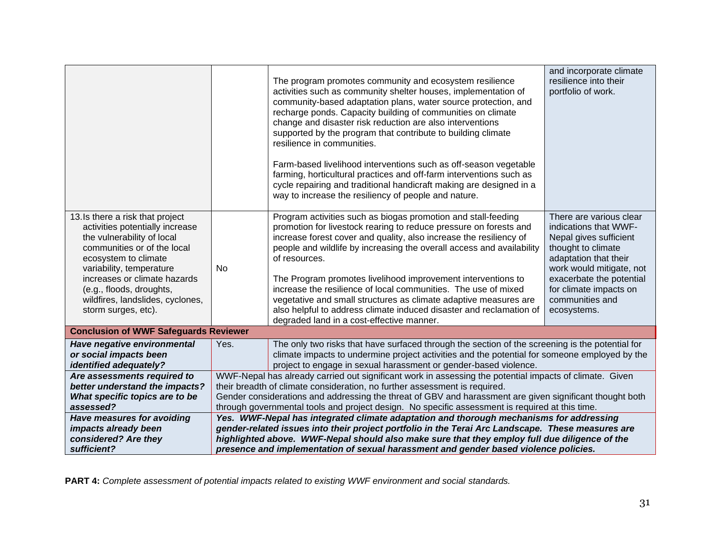|                                                                                                                                                                                                                                                                                                             |                                                                                                                                                                                        | The program promotes community and ecosystem resilience<br>activities such as community shelter houses, implementation of<br>community-based adaptation plans, water source protection, and<br>recharge ponds. Capacity building of communities on climate<br>change and disaster risk reduction are also interventions<br>supported by the program that contribute to building climate<br>resilience in communities.<br>Farm-based livelihood interventions such as off-season vegetable<br>farming, horticultural practices and off-farm interventions such as<br>cycle repairing and traditional handicraft making are designed in a<br>way to increase the resiliency of people and nature. | and incorporate climate<br>resilience into their<br>portfolio of work.                                                                                                                                                                        |  |
|-------------------------------------------------------------------------------------------------------------------------------------------------------------------------------------------------------------------------------------------------------------------------------------------------------------|----------------------------------------------------------------------------------------------------------------------------------------------------------------------------------------|-------------------------------------------------------------------------------------------------------------------------------------------------------------------------------------------------------------------------------------------------------------------------------------------------------------------------------------------------------------------------------------------------------------------------------------------------------------------------------------------------------------------------------------------------------------------------------------------------------------------------------------------------------------------------------------------------|-----------------------------------------------------------------------------------------------------------------------------------------------------------------------------------------------------------------------------------------------|--|
| 13. Is there a risk that project<br>activities potentially increase<br>the vulnerability of local<br>communities or of the local<br>ecosystem to climate<br>variability, temperature<br>increases or climate hazards<br>(e.g., floods, droughts,<br>wildfires, landslides, cyclones,<br>storm surges, etc). | No                                                                                                                                                                                     | Program activities such as biogas promotion and stall-feeding<br>promotion for livestock rearing to reduce pressure on forests and<br>increase forest cover and quality, also increase the resiliency of<br>people and wildlife by increasing the overall access and availability<br>of resources.<br>The Program promotes livelihood improvement interventions to<br>increase the resilience of local communities. The use of mixed<br>vegetative and small structures as climate adaptive measures are<br>also helpful to address climate induced disaster and reclamation of<br>degraded land in a cost-effective manner.                                                                    | There are various clear<br>indications that WWF-<br>Nepal gives sufficient<br>thought to climate<br>adaptation that their<br>work would mitigate, not<br>exacerbate the potential<br>for climate impacts on<br>communities and<br>ecosystems. |  |
| <b>Conclusion of WWF Safeguards Reviewer</b>                                                                                                                                                                                                                                                                |                                                                                                                                                                                        |                                                                                                                                                                                                                                                                                                                                                                                                                                                                                                                                                                                                                                                                                                 |                                                                                                                                                                                                                                               |  |
| Have negative environmental<br>or social impacts been<br>identified adequately?                                                                                                                                                                                                                             | Yes.                                                                                                                                                                                   | The only two risks that have surfaced through the section of the screening is the potential for<br>climate impacts to undermine project activities and the potential for someone employed by the<br>project to engage in sexual harassment or gender-based violence.                                                                                                                                                                                                                                                                                                                                                                                                                            |                                                                                                                                                                                                                                               |  |
| Are assessments required to                                                                                                                                                                                                                                                                                 | WWF-Nepal has already carried out significant work in assessing the potential impacts of climate. Given                                                                                |                                                                                                                                                                                                                                                                                                                                                                                                                                                                                                                                                                                                                                                                                                 |                                                                                                                                                                                                                                               |  |
| better understand the impacts?<br>What specific topics are to be                                                                                                                                                                                                                                            | their breadth of climate consideration, no further assessment is required.<br>Gender considerations and addressing the threat of GBV and harassment are given significant thought both |                                                                                                                                                                                                                                                                                                                                                                                                                                                                                                                                                                                                                                                                                                 |                                                                                                                                                                                                                                               |  |
| assessed?                                                                                                                                                                                                                                                                                                   | through governmental tools and project design. No specific assessment is required at this time.                                                                                        |                                                                                                                                                                                                                                                                                                                                                                                                                                                                                                                                                                                                                                                                                                 |                                                                                                                                                                                                                                               |  |
| Have measures for avoiding                                                                                                                                                                                                                                                                                  | Yes. WWF-Nepal has integrated climate adaptation and thorough mechanisms for addressing                                                                                                |                                                                                                                                                                                                                                                                                                                                                                                                                                                                                                                                                                                                                                                                                                 |                                                                                                                                                                                                                                               |  |
| impacts already been                                                                                                                                                                                                                                                                                        | gender-related issues into their project portfolio in the Terai Arc Landscape. These measures are                                                                                      |                                                                                                                                                                                                                                                                                                                                                                                                                                                                                                                                                                                                                                                                                                 |                                                                                                                                                                                                                                               |  |
| considered? Are they                                                                                                                                                                                                                                                                                        | highlighted above. WWF-Nepal should also make sure that they employ full due diligence of the                                                                                          |                                                                                                                                                                                                                                                                                                                                                                                                                                                                                                                                                                                                                                                                                                 |                                                                                                                                                                                                                                               |  |
| sufficient?                                                                                                                                                                                                                                                                                                 |                                                                                                                                                                                        | presence and implementation of sexual harassment and gender based violence policies.                                                                                                                                                                                                                                                                                                                                                                                                                                                                                                                                                                                                            |                                                                                                                                                                                                                                               |  |

**PART 4:** *Complete assessment of potential impacts related to existing WWF environment and social standards.*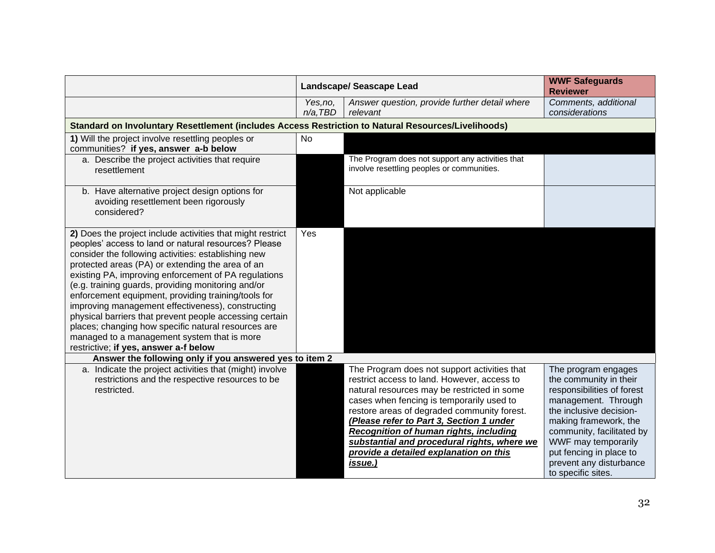|                                                                                                                                                                                                                                                                                                                                                                                                                                                                                                                                                                                                                                                                   | <b>Landscape/ Seascape Lead</b> |                                                                                                                                                                                                                                                                                                                                                                                                                                  | <b>WWF Safeguards</b><br><b>Reviewer</b>                                                                                                                                                                                                                                               |
|-------------------------------------------------------------------------------------------------------------------------------------------------------------------------------------------------------------------------------------------------------------------------------------------------------------------------------------------------------------------------------------------------------------------------------------------------------------------------------------------------------------------------------------------------------------------------------------------------------------------------------------------------------------------|---------------------------------|----------------------------------------------------------------------------------------------------------------------------------------------------------------------------------------------------------------------------------------------------------------------------------------------------------------------------------------------------------------------------------------------------------------------------------|----------------------------------------------------------------------------------------------------------------------------------------------------------------------------------------------------------------------------------------------------------------------------------------|
|                                                                                                                                                                                                                                                                                                                                                                                                                                                                                                                                                                                                                                                                   | Yes, no,<br>$n/a$ , TBD         | Answer question, provide further detail where<br>relevant                                                                                                                                                                                                                                                                                                                                                                        | Comments, additional<br>considerations                                                                                                                                                                                                                                                 |
| Standard on Involuntary Resettlement (includes Access Restriction to Natural Resources/Livelihoods)                                                                                                                                                                                                                                                                                                                                                                                                                                                                                                                                                               |                                 |                                                                                                                                                                                                                                                                                                                                                                                                                                  |                                                                                                                                                                                                                                                                                        |
| 1) Will the project involve resettling peoples or                                                                                                                                                                                                                                                                                                                                                                                                                                                                                                                                                                                                                 | <b>No</b>                       |                                                                                                                                                                                                                                                                                                                                                                                                                                  |                                                                                                                                                                                                                                                                                        |
| communities? if yes, answer a-b below                                                                                                                                                                                                                                                                                                                                                                                                                                                                                                                                                                                                                             |                                 |                                                                                                                                                                                                                                                                                                                                                                                                                                  |                                                                                                                                                                                                                                                                                        |
| a. Describe the project activities that require<br>resettlement                                                                                                                                                                                                                                                                                                                                                                                                                                                                                                                                                                                                   |                                 | The Program does not support any activities that<br>involve resettling peoples or communities.                                                                                                                                                                                                                                                                                                                                   |                                                                                                                                                                                                                                                                                        |
| b. Have alternative project design options for<br>avoiding resettlement been rigorously<br>considered?                                                                                                                                                                                                                                                                                                                                                                                                                                                                                                                                                            |                                 | Not applicable                                                                                                                                                                                                                                                                                                                                                                                                                   |                                                                                                                                                                                                                                                                                        |
| 2) Does the project include activities that might restrict<br>peoples' access to land or natural resources? Please<br>consider the following activities: establishing new<br>protected areas (PA) or extending the area of an<br>existing PA, improving enforcement of PA regulations<br>(e.g. training guards, providing monitoring and/or<br>enforcement equipment, providing training/tools for<br>improving management effectiveness), constructing<br>physical barriers that prevent people accessing certain<br>places; changing how specific natural resources are<br>managed to a management system that is more<br>restrictive; if yes, answer a-f below | Yes                             |                                                                                                                                                                                                                                                                                                                                                                                                                                  |                                                                                                                                                                                                                                                                                        |
| Answer the following only if you answered yes to item 2                                                                                                                                                                                                                                                                                                                                                                                                                                                                                                                                                                                                           |                                 |                                                                                                                                                                                                                                                                                                                                                                                                                                  |                                                                                                                                                                                                                                                                                        |
| a. Indicate the project activities that (might) involve<br>restrictions and the respective resources to be<br>restricted.                                                                                                                                                                                                                                                                                                                                                                                                                                                                                                                                         |                                 | The Program does not support activities that<br>restrict access to land. However, access to<br>natural resources may be restricted in some<br>cases when fencing is temporarily used to<br>restore areas of degraded community forest.<br>(Please refer to Part 3, Section 1 under<br>Recognition of human rights, including<br>substantial and procedural rights, where we<br>provide a detailed explanation on this<br>issue.) | The program engages<br>the community in their<br>responsibilities of forest<br>management. Through<br>the inclusive decision-<br>making framework, the<br>community, facilitated by<br>WWF may temporarily<br>put fencing in place to<br>prevent any disturbance<br>to specific sites. |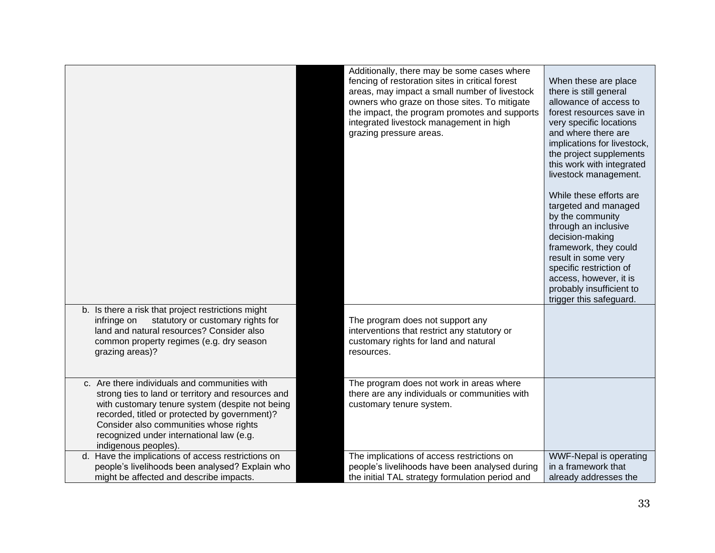| b. Is there a risk that project restrictions might                                                                                                                                                                                                                                                                    | Additionally, there may be some cases where<br>fencing of restoration sites in critical forest<br>areas, may impact a small number of livestock<br>owners who graze on those sites. To mitigate<br>the impact, the program promotes and supports<br>integrated livestock management in high<br>grazing pressure areas. | When these are place<br>there is still general<br>allowance of access to<br>forest resources save in<br>very specific locations<br>and where there are<br>implications for livestock,<br>the project supplements<br>this work with integrated<br>livestock management.<br>While these efforts are<br>targeted and managed<br>by the community<br>through an inclusive<br>decision-making<br>framework, they could<br>result in some very<br>specific restriction of<br>access, however, it is<br>probably insufficient to<br>trigger this safeguard. |
|-----------------------------------------------------------------------------------------------------------------------------------------------------------------------------------------------------------------------------------------------------------------------------------------------------------------------|------------------------------------------------------------------------------------------------------------------------------------------------------------------------------------------------------------------------------------------------------------------------------------------------------------------------|------------------------------------------------------------------------------------------------------------------------------------------------------------------------------------------------------------------------------------------------------------------------------------------------------------------------------------------------------------------------------------------------------------------------------------------------------------------------------------------------------------------------------------------------------|
| statutory or customary rights for<br>infringe on<br>land and natural resources? Consider also<br>common property regimes (e.g. dry season<br>grazing areas)?                                                                                                                                                          | The program does not support any<br>interventions that restrict any statutory or<br>customary rights for land and natural<br>resources.                                                                                                                                                                                |                                                                                                                                                                                                                                                                                                                                                                                                                                                                                                                                                      |
| c. Are there individuals and communities with<br>strong ties to land or territory and resources and<br>with customary tenure system (despite not being<br>recorded, titled or protected by government)?<br>Consider also communities whose rights<br>recognized under international law (e.g.<br>indigenous peoples). | The program does not work in areas where<br>there are any individuals or communities with<br>customary tenure system.                                                                                                                                                                                                  |                                                                                                                                                                                                                                                                                                                                                                                                                                                                                                                                                      |
| d. Have the implications of access restrictions on<br>people's livelihoods been analysed? Explain who<br>might be affected and describe impacts.                                                                                                                                                                      | The implications of access restrictions on<br>people's livelihoods have been analysed during<br>the initial TAL strategy formulation period and                                                                                                                                                                        | WWF-Nepal is operating<br>in a framework that<br>already addresses the                                                                                                                                                                                                                                                                                                                                                                                                                                                                               |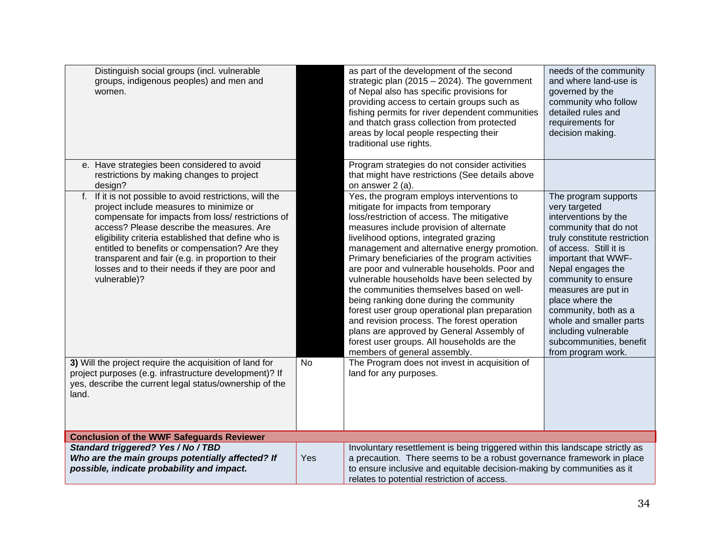| Distinguish social groups (incl. vulnerable<br>groups, indigenous peoples) and men and<br>women.                                                                                                                                                                                                                                                                                                                                                   |     | as part of the development of the second<br>strategic plan (2015 - 2024). The government<br>of Nepal also has specific provisions for<br>providing access to certain groups such as<br>fishing permits for river dependent communities<br>and thatch grass collection from protected<br>areas by local people respecting their<br>traditional use rights.                                                                                                                                                                                                                                                                                                                                                                                | needs of the community<br>and where land-use is<br>governed by the<br>community who follow<br>detailed rules and<br>requirements for<br>decision making.                                                                                                                                                                                                                                  |
|----------------------------------------------------------------------------------------------------------------------------------------------------------------------------------------------------------------------------------------------------------------------------------------------------------------------------------------------------------------------------------------------------------------------------------------------------|-----|------------------------------------------------------------------------------------------------------------------------------------------------------------------------------------------------------------------------------------------------------------------------------------------------------------------------------------------------------------------------------------------------------------------------------------------------------------------------------------------------------------------------------------------------------------------------------------------------------------------------------------------------------------------------------------------------------------------------------------------|-------------------------------------------------------------------------------------------------------------------------------------------------------------------------------------------------------------------------------------------------------------------------------------------------------------------------------------------------------------------------------------------|
| e. Have strategies been considered to avoid<br>restrictions by making changes to project<br>design?                                                                                                                                                                                                                                                                                                                                                |     | Program strategies do not consider activities<br>that might have restrictions (See details above<br>on answer 2 (a).                                                                                                                                                                                                                                                                                                                                                                                                                                                                                                                                                                                                                     |                                                                                                                                                                                                                                                                                                                                                                                           |
| If it is not possible to avoid restrictions, will the<br>$f_{\rm{r}}$<br>project include measures to minimize or<br>compensate for impacts from loss/ restrictions of<br>access? Please describe the measures. Are<br>eligibility criteria established that define who is<br>entitled to benefits or compensation? Are they<br>transparent and fair (e.g. in proportion to their<br>losses and to their needs if they are poor and<br>vulnerable)? |     | Yes, the program employs interventions to<br>mitigate for impacts from temporary<br>loss/restriction of access. The mitigative<br>measures include provision of alternate<br>livelihood options, integrated grazing<br>management and alternative energy promotion.<br>Primary beneficiaries of the program activities<br>are poor and vulnerable households. Poor and<br>vulnerable households have been selected by<br>the communities themselves based on well-<br>being ranking done during the community<br>forest user group operational plan preparation<br>and revision process. The forest operation<br>plans are approved by General Assembly of<br>forest user groups. All households are the<br>members of general assembly. | The program supports<br>very targeted<br>interventions by the<br>community that do not<br>truly constitute restriction<br>of access. Still it is<br>important that WWF-<br>Nepal engages the<br>community to ensure<br>measures are put in<br>place where the<br>community, both as a<br>whole and smaller parts<br>including vulnerable<br>subcommunities, benefit<br>from program work. |
| 3) Will the project require the acquisition of land for<br>project purposes (e.g. infrastructure development)? If<br>yes, describe the current legal status/ownership of the<br>land.                                                                                                                                                                                                                                                              | No  | The Program does not invest in acquisition of<br>land for any purposes.                                                                                                                                                                                                                                                                                                                                                                                                                                                                                                                                                                                                                                                                  |                                                                                                                                                                                                                                                                                                                                                                                           |
| <b>Conclusion of the WWF Safeguards Reviewer</b>                                                                                                                                                                                                                                                                                                                                                                                                   |     |                                                                                                                                                                                                                                                                                                                                                                                                                                                                                                                                                                                                                                                                                                                                          |                                                                                                                                                                                                                                                                                                                                                                                           |
| Standard triggered? Yes / No / TBD<br>Who are the main groups potentially affected? If<br>possible, indicate probability and impact.                                                                                                                                                                                                                                                                                                               | Yes | Involuntary resettlement is being triggered within this landscape strictly as<br>a precaution. There seems to be a robust governance framework in place<br>to ensure inclusive and equitable decision-making by communities as it<br>relates to potential restriction of access.                                                                                                                                                                                                                                                                                                                                                                                                                                                         |                                                                                                                                                                                                                                                                                                                                                                                           |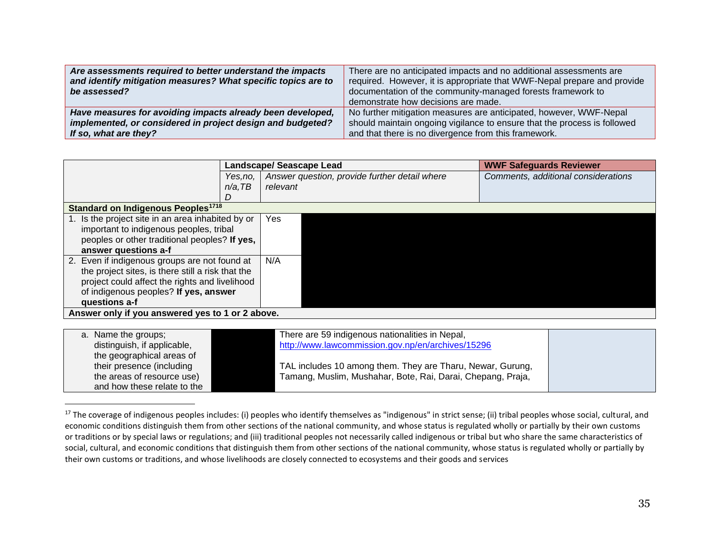| Are assessments required to better understand the impacts<br>and identify mitigation measures? What specific topics are to | There are no anticipated impacts and no additional assessments are<br>required. However, it is appropriate that WWF-Nepal prepare and provide |
|----------------------------------------------------------------------------------------------------------------------------|-----------------------------------------------------------------------------------------------------------------------------------------------|
| be assessed?                                                                                                               | documentation of the community-managed forests framework to                                                                                   |
|                                                                                                                            | demonstrate how decisions are made.                                                                                                           |
| Have measures for avoiding impacts already been developed,                                                                 | No further mitigation measures are anticipated, however, WWF-Nepal                                                                            |
| implemented, or considered in project design and budgeted?                                                                 | should maintain ongoing vigilance to ensure that the process is followed                                                                      |
| If so, what are they?                                                                                                      | and that there is no divergence from this framework.                                                                                          |

|                                                                                                                                                                                                                |            | Landscape/ Seascape Lead                      | <b>WWF Safeguards Reviewer</b>      |  |
|----------------------------------------------------------------------------------------------------------------------------------------------------------------------------------------------------------------|------------|-----------------------------------------------|-------------------------------------|--|
|                                                                                                                                                                                                                | Yes.no.    | Answer question, provide further detail where | Comments, additional considerations |  |
|                                                                                                                                                                                                                | $n/a$ , TB | relevant                                      |                                     |  |
|                                                                                                                                                                                                                |            |                                               |                                     |  |
| <b>Standard on Indigenous Peoples<sup>1718</sup></b>                                                                                                                                                           |            |                                               |                                     |  |
| 1. Is the project site in an area inhabited by or<br>Yes<br>important to indigenous peoples, tribal<br>peoples or other traditional peoples? If yes,<br>answer questions a-f                                   |            |                                               |                                     |  |
| 2. Even if indigenous groups are not found at<br>the project sites, is there still a risk that the<br>project could affect the rights and livelihood<br>of indigenous peoples? If yes, answer<br>questions a-f |            | N/A                                           |                                     |  |
| Answer only if you answered yes to 1 or 2 above.                                                                                                                                                               |            |                                               |                                     |  |

| a. Name the groups;<br>distinguish, if applicable,<br>the geographical areas of | There are 59 indigenous nationalities in Nepal,<br>http://www.lawcommission.gov.np/en/archives/15296                      |  |
|---------------------------------------------------------------------------------|---------------------------------------------------------------------------------------------------------------------------|--|
| their presence (including<br>the areas of resource use)                         | TAL includes 10 among them. They are Tharu, Newar, Gurung,<br>Tamang, Muslim, Mushahar, Bote, Rai, Darai, Chepang, Praja, |  |
| and how these relate to the                                                     |                                                                                                                           |  |

<sup>&</sup>lt;sup>17</sup> The coverage of indigenous peoples includes: (i) peoples who identify themselves as "indigenous" in strict sense; (ii) tribal peoples whose social, cultural, and economic conditions distinguish them from other sections of the national community, and whose status is regulated wholly or partially by their own customs or traditions or by special laws or regulations; and (iii) traditional peoples not necessarily called indigenous or tribal but who share the same characteristics of social, cultural, and economic conditions that distinguish them from other sections of the national community, whose status is regulated wholly or partially by their own customs or traditions, and whose livelihoods are closely connected to ecosystems and their goods and services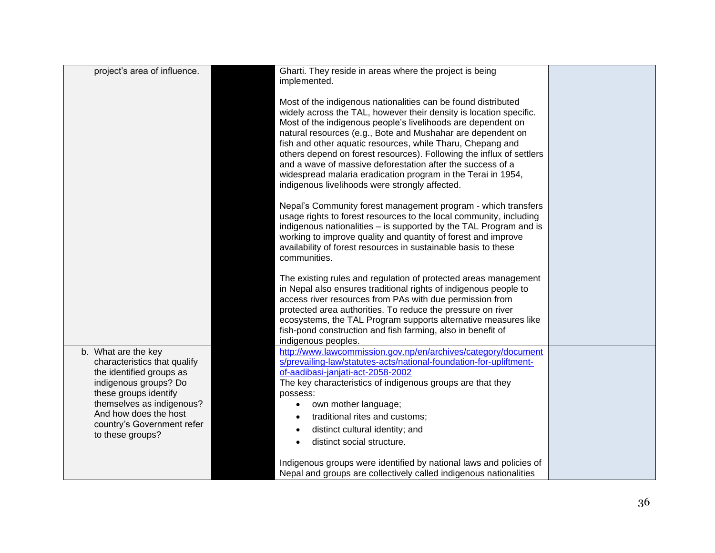| project's area of influence.                                                                                                                                                                                                              | Gharti. They reside in areas where the project is being<br>implemented.                                                                                                                                                                                                                                                                                                                                                                                                                                                                                                                  |  |
|-------------------------------------------------------------------------------------------------------------------------------------------------------------------------------------------------------------------------------------------|------------------------------------------------------------------------------------------------------------------------------------------------------------------------------------------------------------------------------------------------------------------------------------------------------------------------------------------------------------------------------------------------------------------------------------------------------------------------------------------------------------------------------------------------------------------------------------------|--|
|                                                                                                                                                                                                                                           | Most of the indigenous nationalities can be found distributed<br>widely across the TAL, however their density is location specific.<br>Most of the indigenous people's livelihoods are dependent on<br>natural resources (e.g., Bote and Mushahar are dependent on<br>fish and other aquatic resources, while Tharu, Chepang and<br>others depend on forest resources). Following the influx of settlers<br>and a wave of massive deforestation after the success of a<br>widespread malaria eradication program in the Terai in 1954,<br>indigenous livelihoods were strongly affected. |  |
|                                                                                                                                                                                                                                           | Nepal's Community forest management program - which transfers<br>usage rights to forest resources to the local community, including<br>indigenous nationalities – is supported by the TAL Program and is<br>working to improve quality and quantity of forest and improve<br>availability of forest resources in sustainable basis to these<br>communities.                                                                                                                                                                                                                              |  |
|                                                                                                                                                                                                                                           | The existing rules and regulation of protected areas management<br>in Nepal also ensures traditional rights of indigenous people to<br>access river resources from PAs with due permission from<br>protected area authorities. To reduce the pressure on river<br>ecosystems, the TAL Program supports alternative measures like<br>fish-pond construction and fish farming, also in benefit of<br>indigenous peoples.                                                                                                                                                                   |  |
| b. What are the key<br>characteristics that qualify<br>the identified groups as<br>indigenous groups? Do<br>these groups identify<br>themselves as indigenous?<br>And how does the host<br>country's Government refer<br>to these groups? | http://www.lawcommission.gov.np/en/archives/category/document<br>s/prevailing-law/statutes-acts/national-foundation-for-upliftment-<br>of-aadibasi-janjati-act-2058-2002<br>The key characteristics of indigenous groups are that they<br>possess:<br>own mother language;<br>traditional rites and customs;<br>distinct cultural identity; and<br>$\bullet$<br>distinct social structure.                                                                                                                                                                                               |  |
|                                                                                                                                                                                                                                           | Indigenous groups were identified by national laws and policies of<br>Nepal and groups are collectively called indigenous nationalities                                                                                                                                                                                                                                                                                                                                                                                                                                                  |  |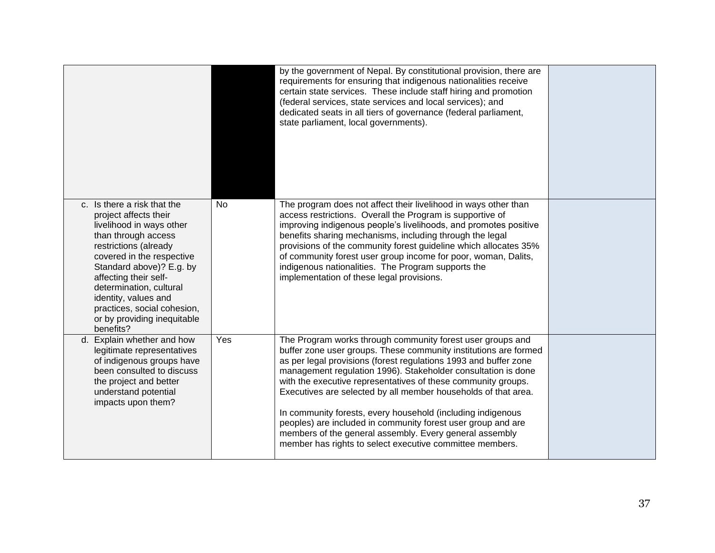|                                                                                                                                                                                                                                                                                                                                                  |           | by the government of Nepal. By constitutional provision, there are<br>requirements for ensuring that indigenous nationalities receive<br>certain state services. These include staff hiring and promotion<br>(federal services, state services and local services); and<br>dedicated seats in all tiers of governance (federal parliament,<br>state parliament, local governments).                                                                                                                                                                                                                                                                          |  |
|--------------------------------------------------------------------------------------------------------------------------------------------------------------------------------------------------------------------------------------------------------------------------------------------------------------------------------------------------|-----------|--------------------------------------------------------------------------------------------------------------------------------------------------------------------------------------------------------------------------------------------------------------------------------------------------------------------------------------------------------------------------------------------------------------------------------------------------------------------------------------------------------------------------------------------------------------------------------------------------------------------------------------------------------------|--|
| c. Is there a risk that the<br>project affects their<br>livelihood in ways other<br>than through access<br>restrictions (already<br>covered in the respective<br>Standard above)? E.g. by<br>affecting their self-<br>determination, cultural<br>identity, values and<br>practices, social cohesion,<br>or by providing inequitable<br>benefits? | <b>No</b> | The program does not affect their livelihood in ways other than<br>access restrictions. Overall the Program is supportive of<br>improving indigenous people's livelihoods, and promotes positive<br>benefits sharing mechanisms, including through the legal<br>provisions of the community forest guideline which allocates 35%<br>of community forest user group income for poor, woman, Dalits,<br>indigenous nationalities. The Program supports the<br>implementation of these legal provisions.                                                                                                                                                        |  |
| d. Explain whether and how<br>legitimate representatives<br>of indigenous groups have<br>been consulted to discuss<br>the project and better<br>understand potential<br>impacts upon them?                                                                                                                                                       | Yes       | The Program works through community forest user groups and<br>buffer zone user groups. These community institutions are formed<br>as per legal provisions (forest regulations 1993 and buffer zone<br>management regulation 1996). Stakeholder consultation is done<br>with the executive representatives of these community groups.<br>Executives are selected by all member households of that area.<br>In community forests, every household (including indigenous<br>peoples) are included in community forest user group and are<br>members of the general assembly. Every general assembly<br>member has rights to select executive committee members. |  |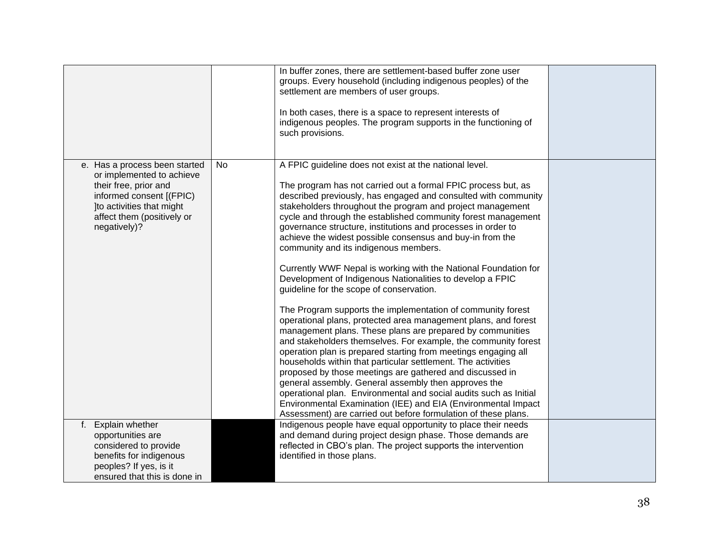|                                                                                                                                                                                            |    | In buffer zones, there are settlement-based buffer zone user<br>groups. Every household (including indigenous peoples) of the<br>settlement are members of user groups.<br>In both cases, there is a space to represent interests of<br>indigenous peoples. The program supports in the functioning of<br>such provisions.                                                                                                                                                                                                                                                                                                                                                                                                                                                                                                                                                                                                                                                                                                                                                                                                                                                                                                                                                                                                                                                                               |  |
|--------------------------------------------------------------------------------------------------------------------------------------------------------------------------------------------|----|----------------------------------------------------------------------------------------------------------------------------------------------------------------------------------------------------------------------------------------------------------------------------------------------------------------------------------------------------------------------------------------------------------------------------------------------------------------------------------------------------------------------------------------------------------------------------------------------------------------------------------------------------------------------------------------------------------------------------------------------------------------------------------------------------------------------------------------------------------------------------------------------------------------------------------------------------------------------------------------------------------------------------------------------------------------------------------------------------------------------------------------------------------------------------------------------------------------------------------------------------------------------------------------------------------------------------------------------------------------------------------------------------------|--|
| e. Has a process been started<br>or implemented to achieve<br>their free, prior and<br>informed consent [(FPIC)<br>Ito activities that might<br>affect them (positively or<br>negatively)? | No | A FPIC guideline does not exist at the national level.<br>The program has not carried out a formal FPIC process but, as<br>described previously, has engaged and consulted with community<br>stakeholders throughout the program and project management<br>cycle and through the established community forest management<br>governance structure, institutions and processes in order to<br>achieve the widest possible consensus and buy-in from the<br>community and its indigenous members.<br>Currently WWF Nepal is working with the National Foundation for<br>Development of Indigenous Nationalities to develop a FPIC<br>guideline for the scope of conservation.<br>The Program supports the implementation of community forest<br>operational plans, protected area management plans, and forest<br>management plans. These plans are prepared by communities<br>and stakeholders themselves. For example, the community forest<br>operation plan is prepared starting from meetings engaging all<br>households within that particular settlement. The activities<br>proposed by those meetings are gathered and discussed in<br>general assembly. General assembly then approves the<br>operational plan. Environmental and social audits such as Initial<br>Environmental Examination (IEE) and EIA (Environmental Impact<br>Assessment) are carried out before formulation of these plans. |  |
| Explain whether<br>f.<br>opportunities are<br>considered to provide<br>benefits for indigenous<br>peoples? If yes, is it<br>ensured that this is done in                                   |    | Indigenous people have equal opportunity to place their needs<br>and demand during project design phase. Those demands are<br>reflected in CBO's plan. The project supports the intervention<br>identified in those plans.                                                                                                                                                                                                                                                                                                                                                                                                                                                                                                                                                                                                                                                                                                                                                                                                                                                                                                                                                                                                                                                                                                                                                                               |  |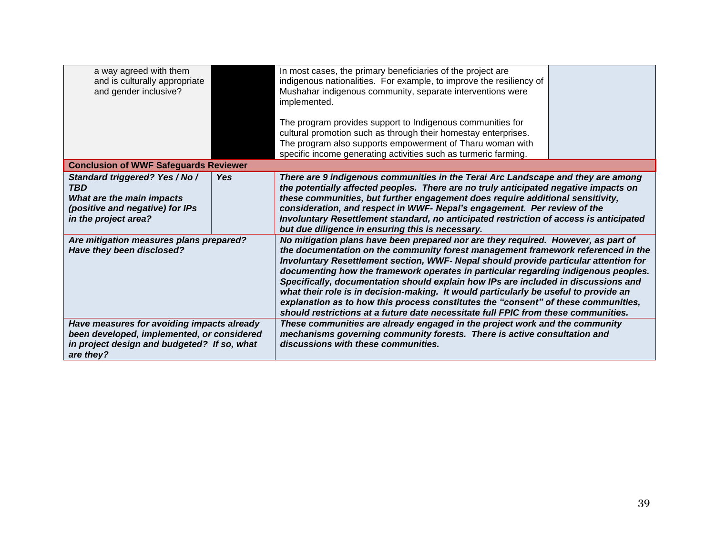| a way agreed with them<br>and is culturally appropriate<br>and gender inclusive?                                                                     |            | In most cases, the primary beneficiaries of the project are<br>indigenous nationalities. For example, to improve the resiliency of<br>Mushahar indigenous community, separate interventions were<br>implemented.                                                                                                                                                                                                                                                                                                                                                                                                                                                                                              |  |  |
|------------------------------------------------------------------------------------------------------------------------------------------------------|------------|---------------------------------------------------------------------------------------------------------------------------------------------------------------------------------------------------------------------------------------------------------------------------------------------------------------------------------------------------------------------------------------------------------------------------------------------------------------------------------------------------------------------------------------------------------------------------------------------------------------------------------------------------------------------------------------------------------------|--|--|
|                                                                                                                                                      |            | The program provides support to Indigenous communities for<br>cultural promotion such as through their homestay enterprises.                                                                                                                                                                                                                                                                                                                                                                                                                                                                                                                                                                                  |  |  |
|                                                                                                                                                      |            | The program also supports empowerment of Tharu woman with<br>specific income generating activities such as turmeric farming.                                                                                                                                                                                                                                                                                                                                                                                                                                                                                                                                                                                  |  |  |
| <b>Conclusion of WWF Safeguards Reviewer</b>                                                                                                         |            |                                                                                                                                                                                                                                                                                                                                                                                                                                                                                                                                                                                                                                                                                                               |  |  |
| Standard triggered? Yes / No /<br><b>TBD</b><br>What are the main impacts<br>(positive and negative) for IPs<br>in the project area?                 | <b>Yes</b> | There are 9 indigenous communities in the Terai Arc Landscape and they are among<br>the potentially affected peoples. There are no truly anticipated negative impacts on<br>these communities, but further engagement does require additional sensitivity,<br>consideration, and respect in WWF-Nepal's engagement. Per review of the<br>Involuntary Resettlement standard, no anticipated restriction of access is anticipated<br>but due diligence in ensuring this is necessary.                                                                                                                                                                                                                           |  |  |
| Are mitigation measures plans prepared?<br>Have they been disclosed?                                                                                 |            | No mitigation plans have been prepared nor are they required. However, as part of<br>the documentation on the community forest management framework referenced in the<br>Involuntary Resettlement section, WWF- Nepal should provide particular attention for<br>documenting how the framework operates in particular regarding indigenous peoples.<br>Specifically, documentation should explain how IPs are included in discussions and<br>what their role is in decision-making. It would particularly be useful to provide an<br>explanation as to how this process constitutes the "consent" of these communities,<br>should restrictions at a future date necessitate full FPIC from these communities. |  |  |
| Have measures for avoiding impacts already<br>been developed, implemented, or considered<br>in project design and budgeted? If so, what<br>are they? |            | These communities are already engaged in the project work and the community<br>mechanisms governing community forests. There is active consultation and<br>discussions with these communities.                                                                                                                                                                                                                                                                                                                                                                                                                                                                                                                |  |  |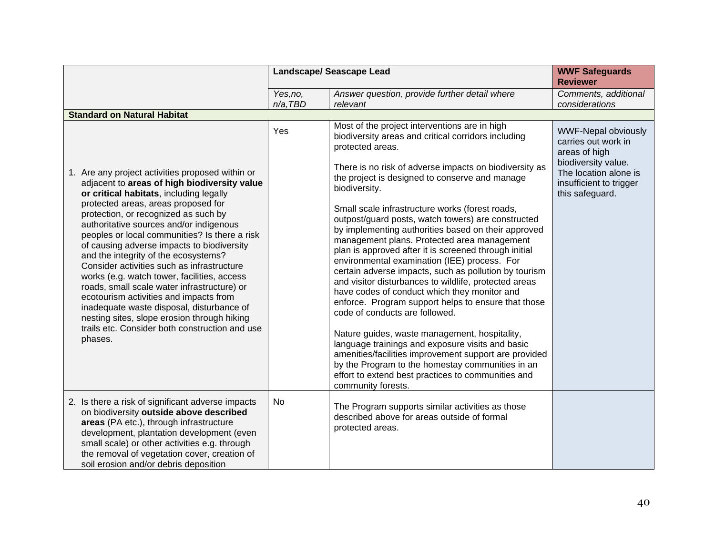|                                                                                                                                                                                                                                                                                                                                                                                                                                                                                                                                                                                                                                                                                                                                                             | <b>Landscape/ Seascape Lead</b> |                                                                                                                                                                                                                                                                                                                                                                                                                                                                                                                                                                                                                                                                                                                                                                                                                                                                                                                                                                                                                                                                                                                                        | <b>WWF Safeguards</b><br><b>Reviewer</b>                                                                                                                         |
|-------------------------------------------------------------------------------------------------------------------------------------------------------------------------------------------------------------------------------------------------------------------------------------------------------------------------------------------------------------------------------------------------------------------------------------------------------------------------------------------------------------------------------------------------------------------------------------------------------------------------------------------------------------------------------------------------------------------------------------------------------------|---------------------------------|----------------------------------------------------------------------------------------------------------------------------------------------------------------------------------------------------------------------------------------------------------------------------------------------------------------------------------------------------------------------------------------------------------------------------------------------------------------------------------------------------------------------------------------------------------------------------------------------------------------------------------------------------------------------------------------------------------------------------------------------------------------------------------------------------------------------------------------------------------------------------------------------------------------------------------------------------------------------------------------------------------------------------------------------------------------------------------------------------------------------------------------|------------------------------------------------------------------------------------------------------------------------------------------------------------------|
|                                                                                                                                                                                                                                                                                                                                                                                                                                                                                                                                                                                                                                                                                                                                                             | Yes, no,<br>$n/a$ , TBD         | Answer question, provide further detail where<br>relevant                                                                                                                                                                                                                                                                                                                                                                                                                                                                                                                                                                                                                                                                                                                                                                                                                                                                                                                                                                                                                                                                              | Comments, additional<br>considerations                                                                                                                           |
| <b>Standard on Natural Habitat</b>                                                                                                                                                                                                                                                                                                                                                                                                                                                                                                                                                                                                                                                                                                                          |                                 |                                                                                                                                                                                                                                                                                                                                                                                                                                                                                                                                                                                                                                                                                                                                                                                                                                                                                                                                                                                                                                                                                                                                        |                                                                                                                                                                  |
| 1. Are any project activities proposed within or<br>adjacent to areas of high biodiversity value<br>or critical habitats, including legally<br>protected areas, areas proposed for<br>protection, or recognized as such by<br>authoritative sources and/or indigenous<br>peoples or local communities? Is there a risk<br>of causing adverse impacts to biodiversity<br>and the integrity of the ecosystems?<br>Consider activities such as infrastructure<br>works (e.g. watch tower, facilities, access<br>roads, small scale water infrastructure) or<br>ecotourism activities and impacts from<br>inadequate waste disposal, disturbance of<br>nesting sites, slope erosion through hiking<br>trails etc. Consider both construction and use<br>phases. | Yes                             | Most of the project interventions are in high<br>biodiversity areas and critical corridors including<br>protected areas.<br>There is no risk of adverse impacts on biodiversity as<br>the project is designed to conserve and manage<br>biodiversity.<br>Small scale infrastructure works (forest roads,<br>outpost/guard posts, watch towers) are constructed<br>by implementing authorities based on their approved<br>management plans. Protected area management<br>plan is approved after it is screened through initial<br>environmental examination (IEE) process. For<br>certain adverse impacts, such as pollution by tourism<br>and visitor disturbances to wildlife, protected areas<br>have codes of conduct which they monitor and<br>enforce. Program support helps to ensure that those<br>code of conducts are followed.<br>Nature guides, waste management, hospitality,<br>language trainings and exposure visits and basic<br>amenities/facilities improvement support are provided<br>by the Program to the homestay communities in an<br>effort to extend best practices to communities and<br>community forests. | <b>WWF-Nepal obviously</b><br>carries out work in<br>areas of high<br>biodiversity value.<br>The location alone is<br>insufficient to trigger<br>this safeguard. |
| 2. Is there a risk of significant adverse impacts<br>on biodiversity outside above described<br>areas (PA etc.), through infrastructure<br>development, plantation development (even<br>small scale) or other activities e.g. through<br>the removal of vegetation cover, creation of<br>soil erosion and/or debris deposition                                                                                                                                                                                                                                                                                                                                                                                                                              | No                              | The Program supports similar activities as those<br>described above for areas outside of formal<br>protected areas.                                                                                                                                                                                                                                                                                                                                                                                                                                                                                                                                                                                                                                                                                                                                                                                                                                                                                                                                                                                                                    |                                                                                                                                                                  |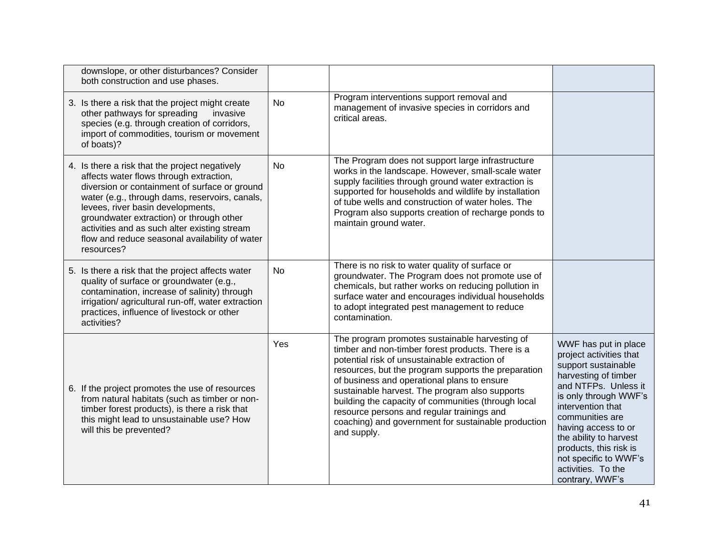| downslope, or other disturbances? Consider<br>both construction and use phases.                                                                                                                                                                                                                                                                                                               |           |                                                                                                                                                                                                                                                                                                                                                                                                                                                                                         |                                                                                                                                                                                                                                                                                                                                      |
|-----------------------------------------------------------------------------------------------------------------------------------------------------------------------------------------------------------------------------------------------------------------------------------------------------------------------------------------------------------------------------------------------|-----------|-----------------------------------------------------------------------------------------------------------------------------------------------------------------------------------------------------------------------------------------------------------------------------------------------------------------------------------------------------------------------------------------------------------------------------------------------------------------------------------------|--------------------------------------------------------------------------------------------------------------------------------------------------------------------------------------------------------------------------------------------------------------------------------------------------------------------------------------|
| 3. Is there a risk that the project might create<br>other pathways for spreading<br>invasive<br>species (e.g. through creation of corridors,<br>import of commodities, tourism or movement<br>of boats)?                                                                                                                                                                                      | No        | Program interventions support removal and<br>management of invasive species in corridors and<br>critical areas.                                                                                                                                                                                                                                                                                                                                                                         |                                                                                                                                                                                                                                                                                                                                      |
| 4. Is there a risk that the project negatively<br>affects water flows through extraction,<br>diversion or containment of surface or ground<br>water (e.g., through dams, reservoirs, canals,<br>levees, river basin developments,<br>groundwater extraction) or through other<br>activities and as such alter existing stream<br>flow and reduce seasonal availability of water<br>resources? | No        | The Program does not support large infrastructure<br>works in the landscape. However, small-scale water<br>supply facilities through ground water extraction is<br>supported for households and wildlife by installation<br>of tube wells and construction of water holes. The<br>Program also supports creation of recharge ponds to<br>maintain ground water.                                                                                                                         |                                                                                                                                                                                                                                                                                                                                      |
| 5. Is there a risk that the project affects water<br>quality of surface or groundwater (e.g.,<br>contamination, increase of salinity) through<br>irrigation/ agricultural run-off, water extraction<br>practices, influence of livestock or other<br>activities?                                                                                                                              | <b>No</b> | There is no risk to water quality of surface or<br>groundwater. The Program does not promote use of<br>chemicals, but rather works on reducing pollution in<br>surface water and encourages individual households<br>to adopt integrated pest management to reduce<br>contamination.                                                                                                                                                                                                    |                                                                                                                                                                                                                                                                                                                                      |
| 6. If the project promotes the use of resources<br>from natural habitats (such as timber or non-<br>timber forest products), is there a risk that<br>this might lead to unsustainable use? How<br>will this be prevented?                                                                                                                                                                     | Yes       | The program promotes sustainable harvesting of<br>timber and non-timber forest products. There is a<br>potential risk of unsustainable extraction of<br>resources, but the program supports the preparation<br>of business and operational plans to ensure<br>sustainable harvest. The program also supports<br>building the capacity of communities (through local<br>resource persons and regular trainings and<br>coaching) and government for sustainable production<br>and supply. | WWF has put in place<br>project activities that<br>support sustainable<br>harvesting of timber<br>and NTFPs. Unless it<br>is only through WWF's<br>intervention that<br>communities are<br>having access to or<br>the ability to harvest<br>products, this risk is<br>not specific to WWF's<br>activities. To the<br>contrary, WWF's |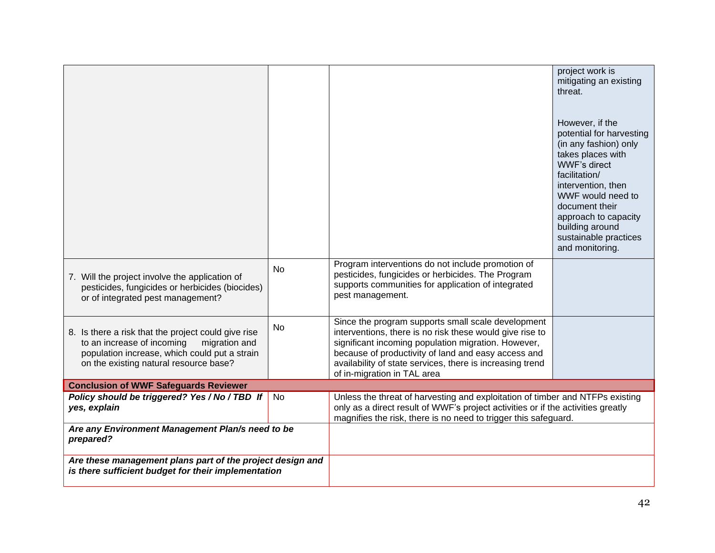| 7. Will the project involve the application of<br>pesticides, fungicides or herbicides (biocides)<br>or of integrated pest management?                                                        | <b>No</b> | Program interventions do not include promotion of<br>pesticides, fungicides or herbicides. The Program<br>supports communities for application of integrated<br>pest management.                                                                                                                                         | project work is<br>mitigating an existing<br>threat.<br>However, if the<br>potential for harvesting<br>(in any fashion) only<br>takes places with<br>WWF's direct<br>facilitation/<br>intervention, then<br>WWF would need to<br>document their<br>approach to capacity<br>building around<br>sustainable practices<br>and monitoring. |
|-----------------------------------------------------------------------------------------------------------------------------------------------------------------------------------------------|-----------|--------------------------------------------------------------------------------------------------------------------------------------------------------------------------------------------------------------------------------------------------------------------------------------------------------------------------|----------------------------------------------------------------------------------------------------------------------------------------------------------------------------------------------------------------------------------------------------------------------------------------------------------------------------------------|
| 8. Is there a risk that the project could give rise<br>to an increase of incoming<br>migration and<br>population increase, which could put a strain<br>on the existing natural resource base? | No        | Since the program supports small scale development<br>interventions, there is no risk these would give rise to<br>significant incoming population migration. However,<br>because of productivity of land and easy access and<br>availability of state services, there is increasing trend<br>of in-migration in TAL area |                                                                                                                                                                                                                                                                                                                                        |
| <b>Conclusion of WWF Safeguards Reviewer</b>                                                                                                                                                  |           |                                                                                                                                                                                                                                                                                                                          |                                                                                                                                                                                                                                                                                                                                        |
| Policy should be triggered? Yes / No / TBD If<br>yes, explain                                                                                                                                 | <b>No</b> | Unless the threat of harvesting and exploitation of timber and NTFPs existing<br>only as a direct result of WWF's project activities or if the activities greatly<br>magnifies the risk, there is no need to trigger this safeguard.                                                                                     |                                                                                                                                                                                                                                                                                                                                        |
| Are any Environment Management Plan/s need to be<br>prepared?                                                                                                                                 |           |                                                                                                                                                                                                                                                                                                                          |                                                                                                                                                                                                                                                                                                                                        |
| Are these management plans part of the project design and<br>is there sufficient budget for their implementation                                                                              |           |                                                                                                                                                                                                                                                                                                                          |                                                                                                                                                                                                                                                                                                                                        |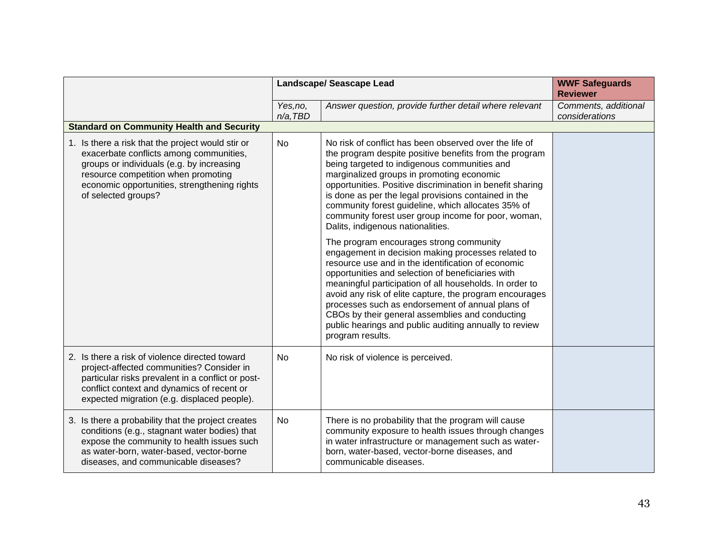|                                                                                                                                                                                                                                                         | <b>Landscape/ Seascape Lead</b> |                                                                                                                                                                                                                                                                                                                                                                                                                                                                                                                     | <b>WWF Safeguards</b><br><b>Reviewer</b> |
|---------------------------------------------------------------------------------------------------------------------------------------------------------------------------------------------------------------------------------------------------------|---------------------------------|---------------------------------------------------------------------------------------------------------------------------------------------------------------------------------------------------------------------------------------------------------------------------------------------------------------------------------------------------------------------------------------------------------------------------------------------------------------------------------------------------------------------|------------------------------------------|
|                                                                                                                                                                                                                                                         | Yes, no,<br>$n/a$ , TBD         | Answer question, provide further detail where relevant                                                                                                                                                                                                                                                                                                                                                                                                                                                              | Comments, additional<br>considerations   |
| <b>Standard on Community Health and Security</b>                                                                                                                                                                                                        |                                 |                                                                                                                                                                                                                                                                                                                                                                                                                                                                                                                     |                                          |
| 1. Is there a risk that the project would stir or<br>exacerbate conflicts among communities,<br>groups or individuals (e.g. by increasing<br>resource competition when promoting<br>economic opportunities, strengthening rights<br>of selected groups? | <b>No</b>                       | No risk of conflict has been observed over the life of<br>the program despite positive benefits from the program<br>being targeted to indigenous communities and<br>marginalized groups in promoting economic<br>opportunities. Positive discrimination in benefit sharing<br>is done as per the legal provisions contained in the<br>community forest guideline, which allocates 35% of<br>community forest user group income for poor, woman,<br>Dalits, indigenous nationalities.                                |                                          |
|                                                                                                                                                                                                                                                         |                                 | The program encourages strong community<br>engagement in decision making processes related to<br>resource use and in the identification of economic<br>opportunities and selection of beneficiaries with<br>meaningful participation of all households. In order to<br>avoid any risk of elite capture, the program encourages<br>processes such as endorsement of annual plans of<br>CBOs by their general assemblies and conducting<br>public hearings and public auditing annually to review<br>program results. |                                          |
| 2. Is there a risk of violence directed toward<br>project-affected communities? Consider in<br>particular risks prevalent in a conflict or post-<br>conflict context and dynamics of recent or<br>expected migration (e.g. displaced people).           | <b>No</b>                       | No risk of violence is perceived.                                                                                                                                                                                                                                                                                                                                                                                                                                                                                   |                                          |
| 3. Is there a probability that the project creates<br>conditions (e.g., stagnant water bodies) that<br>expose the community to health issues such<br>as water-born, water-based, vector-borne<br>diseases, and communicable diseases?                   | <b>No</b>                       | There is no probability that the program will cause<br>community exposure to health issues through changes<br>in water infrastructure or management such as water-<br>born, water-based, vector-borne diseases, and<br>communicable diseases.                                                                                                                                                                                                                                                                       |                                          |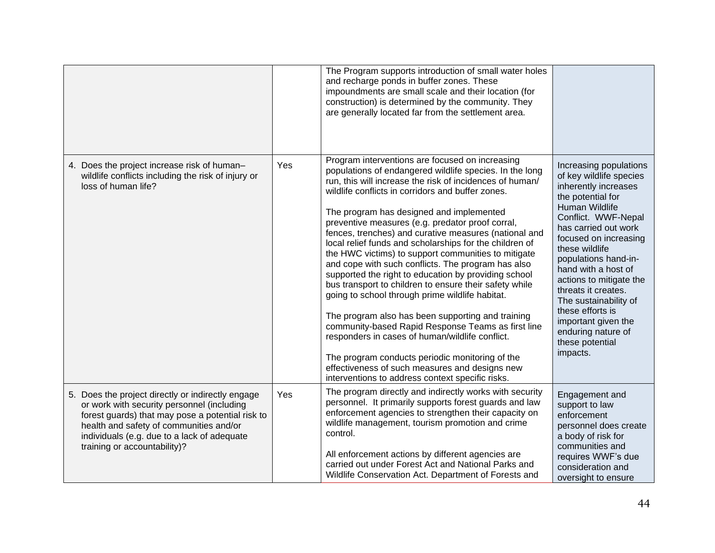|                                                                                                                                                                                                                                                                               |     | The Program supports introduction of small water holes<br>and recharge ponds in buffer zones. These<br>impoundments are small scale and their location (for<br>construction) is determined by the community. They<br>are generally located far from the settlement area.                                                                                                                                                                                                                                                                                                                                                                                                                                                                                                                                                                                                                                                                                                                                                                                 |                                                                                                                                                                                                                                                                                                                                                                                                                                      |
|-------------------------------------------------------------------------------------------------------------------------------------------------------------------------------------------------------------------------------------------------------------------------------|-----|----------------------------------------------------------------------------------------------------------------------------------------------------------------------------------------------------------------------------------------------------------------------------------------------------------------------------------------------------------------------------------------------------------------------------------------------------------------------------------------------------------------------------------------------------------------------------------------------------------------------------------------------------------------------------------------------------------------------------------------------------------------------------------------------------------------------------------------------------------------------------------------------------------------------------------------------------------------------------------------------------------------------------------------------------------|--------------------------------------------------------------------------------------------------------------------------------------------------------------------------------------------------------------------------------------------------------------------------------------------------------------------------------------------------------------------------------------------------------------------------------------|
| 4. Does the project increase risk of human-<br>wildlife conflicts including the risk of injury or<br>loss of human life?                                                                                                                                                      | Yes | Program interventions are focused on increasing<br>populations of endangered wildlife species. In the long<br>run, this will increase the risk of incidences of human/<br>wildlife conflicts in corridors and buffer zones.<br>The program has designed and implemented<br>preventive measures (e.g. predator proof corral,<br>fences, trenches) and curative measures (national and<br>local relief funds and scholarships for the children of<br>the HWC victims) to support communities to mitigate<br>and cope with such conflicts. The program has also<br>supported the right to education by providing school<br>bus transport to children to ensure their safety while<br>going to school through prime wildlife habitat.<br>The program also has been supporting and training<br>community-based Rapid Response Teams as first line<br>responders in cases of human/wildlife conflict.<br>The program conducts periodic monitoring of the<br>effectiveness of such measures and designs new<br>interventions to address context specific risks. | Increasing populations<br>of key wildlife species<br>inherently increases<br>the potential for<br>Human Wildlife<br>Conflict. WWF-Nepal<br>has carried out work<br>focused on increasing<br>these wildlife<br>populations hand-in-<br>hand with a host of<br>actions to mitigate the<br>threats it creates.<br>The sustainability of<br>these efforts is<br>important given the<br>enduring nature of<br>these potential<br>impacts. |
| 5. Does the project directly or indirectly engage<br>or work with security personnel (including<br>forest guards) that may pose a potential risk to<br>health and safety of communities and/or<br>individuals (e.g. due to a lack of adequate<br>training or accountability)? | Yes | The program directly and indirectly works with security<br>personnel. It primarily supports forest guards and law<br>enforcement agencies to strengthen their capacity on<br>wildlife management, tourism promotion and crime<br>control.<br>All enforcement actions by different agencies are<br>carried out under Forest Act and National Parks and<br>Wildlife Conservation Act. Department of Forests and                                                                                                                                                                                                                                                                                                                                                                                                                                                                                                                                                                                                                                            | Engagement and<br>support to law<br>enforcement<br>personnel does create<br>a body of risk for<br>communities and<br>requires WWF's due<br>consideration and<br>oversight to ensure                                                                                                                                                                                                                                                  |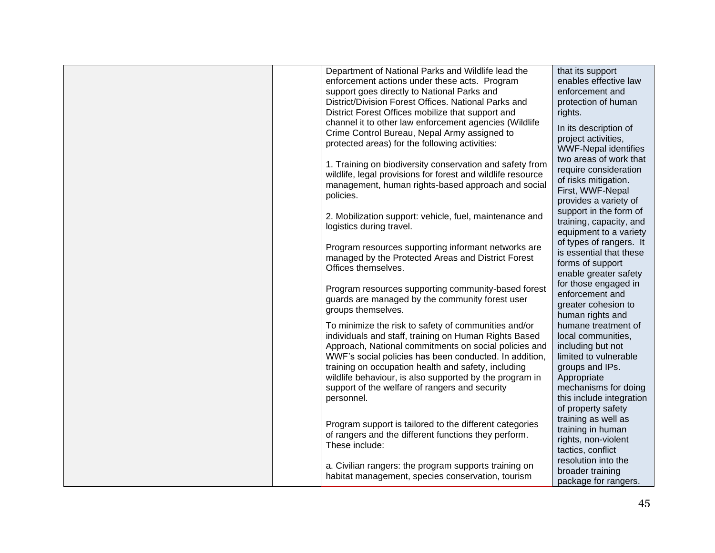| Department of National Parks and Wildlife lead the<br>enforcement actions under these acts. Program<br>support goes directly to National Parks and<br>District/Division Forest Offices. National Parks and<br>District Forest Offices mobilize that support and<br>channel it to other law enforcement agencies (Wildlife<br>Crime Control Bureau, Nepal Army assigned to<br>protected areas) for the following activities: | that its support<br>enables effective law<br>enforcement and<br>protection of human<br>rights.<br>In its description of<br>project activities,<br><b>WWF-Nepal identifies</b>                       |
|-----------------------------------------------------------------------------------------------------------------------------------------------------------------------------------------------------------------------------------------------------------------------------------------------------------------------------------------------------------------------------------------------------------------------------|-----------------------------------------------------------------------------------------------------------------------------------------------------------------------------------------------------|
| 1. Training on biodiversity conservation and safety from<br>wildlife, legal provisions for forest and wildlife resource<br>management, human rights-based approach and social<br>policies.                                                                                                                                                                                                                                  | two areas of work that<br>require consideration<br>of risks mitigation.<br>First, WWF-Nepal<br>provides a variety of                                                                                |
| 2. Mobilization support: vehicle, fuel, maintenance and<br>logistics during travel.                                                                                                                                                                                                                                                                                                                                         | support in the form of<br>training, capacity, and<br>equipment to a variety                                                                                                                         |
| Program resources supporting informant networks are<br>managed by the Protected Areas and District Forest<br>Offices themselves.                                                                                                                                                                                                                                                                                            | of types of rangers. It<br>is essential that these<br>forms of support<br>enable greater safety                                                                                                     |
| Program resources supporting community-based forest<br>guards are managed by the community forest user<br>groups themselves.                                                                                                                                                                                                                                                                                                | for those engaged in<br>enforcement and<br>greater cohesion to<br>human rights and                                                                                                                  |
| To minimize the risk to safety of communities and/or<br>individuals and staff, training on Human Rights Based<br>Approach, National commitments on social policies and<br>WWF's social policies has been conducted. In addition,<br>training on occupation health and safety, including<br>wildlife behaviour, is also supported by the program in<br>support of the welfare of rangers and security<br>personnel.          | humane treatment of<br>local communities,<br>including but not<br>limited to vulnerable<br>groups and IPs.<br>Appropriate<br>mechanisms for doing<br>this include integration<br>of property safety |
| Program support is tailored to the different categories<br>of rangers and the different functions they perform.<br>These include:                                                                                                                                                                                                                                                                                           | training as well as<br>training in human<br>rights, non-violent<br>tactics, conflict                                                                                                                |
| a. Civilian rangers: the program supports training on<br>habitat management, species conservation, tourism                                                                                                                                                                                                                                                                                                                  | resolution into the<br>broader training<br>package for rangers.                                                                                                                                     |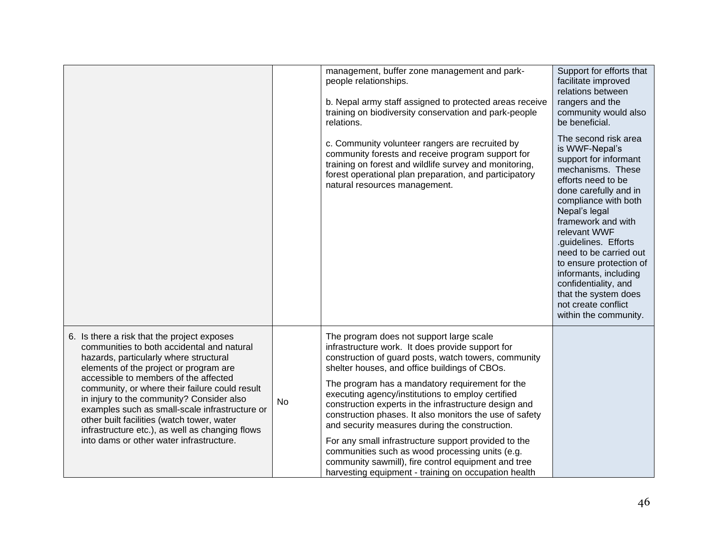|                                                                                                                                                                                                                                                                                                                                                                                                                                                                                                                      |    | management, buffer zone management and park-<br>people relationships.<br>b. Nepal army staff assigned to protected areas receive<br>training on biodiversity conservation and park-people<br>relations.                                                                                                                                                                                                                                                                                                                                                                                                                                                                                                       | Support for efforts that<br>facilitate improved<br>relations between<br>rangers and the<br>community would also<br>be beneficial.                                                                                                                                                                                                                                                                                        |
|----------------------------------------------------------------------------------------------------------------------------------------------------------------------------------------------------------------------------------------------------------------------------------------------------------------------------------------------------------------------------------------------------------------------------------------------------------------------------------------------------------------------|----|---------------------------------------------------------------------------------------------------------------------------------------------------------------------------------------------------------------------------------------------------------------------------------------------------------------------------------------------------------------------------------------------------------------------------------------------------------------------------------------------------------------------------------------------------------------------------------------------------------------------------------------------------------------------------------------------------------------|--------------------------------------------------------------------------------------------------------------------------------------------------------------------------------------------------------------------------------------------------------------------------------------------------------------------------------------------------------------------------------------------------------------------------|
|                                                                                                                                                                                                                                                                                                                                                                                                                                                                                                                      |    | c. Community volunteer rangers are recruited by<br>community forests and receive program support for<br>training on forest and wildlife survey and monitoring,<br>forest operational plan preparation, and participatory<br>natural resources management.                                                                                                                                                                                                                                                                                                                                                                                                                                                     | The second risk area<br>is WWF-Nepal's<br>support for informant<br>mechanisms. These<br>efforts need to be<br>done carefully and in<br>compliance with both<br>Nepal's legal<br>framework and with<br>relevant WWF<br>.guidelines. Efforts<br>need to be carried out<br>to ensure protection of<br>informants, including<br>confidentiality, and<br>that the system does<br>not create conflict<br>within the community. |
| 6. Is there a risk that the project exposes<br>communities to both accidental and natural<br>hazards, particularly where structural<br>elements of the project or program are<br>accessible to members of the affected<br>community, or where their failure could result<br>in injury to the community? Consider also<br>examples such as small-scale infrastructure or<br>other built facilities (watch tower, water<br>infrastructure etc.), as well as changing flows<br>into dams or other water infrastructure. | No | The program does not support large scale<br>infrastructure work. It does provide support for<br>construction of guard posts, watch towers, community<br>shelter houses, and office buildings of CBOs.<br>The program has a mandatory requirement for the<br>executing agency/institutions to employ certified<br>construction experts in the infrastructure design and<br>construction phases. It also monitors the use of safety<br>and security measures during the construction.<br>For any small infrastructure support provided to the<br>communities such as wood processing units (e.g.<br>community sawmill), fire control equipment and tree<br>harvesting equipment - training on occupation health |                                                                                                                                                                                                                                                                                                                                                                                                                          |